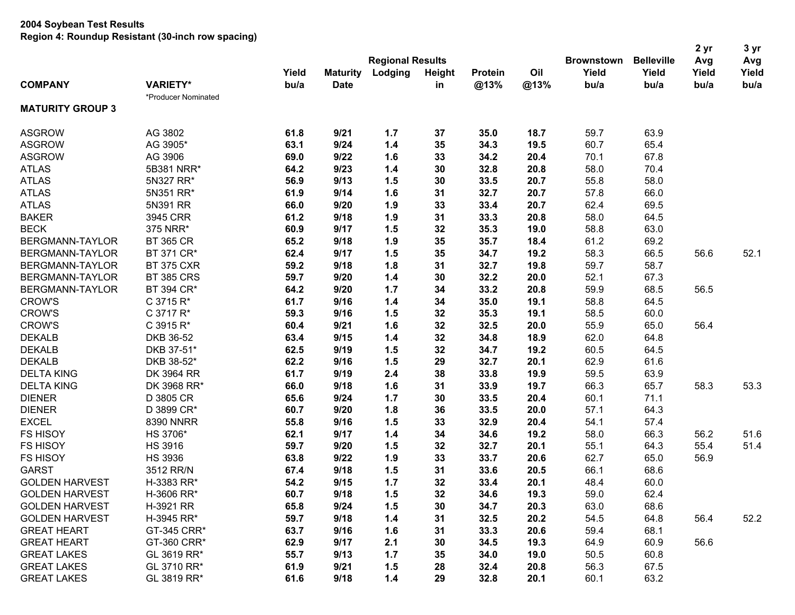|                         |                     |       |                 |                         |               |         |      |                   |                   | 2 yr  | 3 yr<br>Avg |
|-------------------------|---------------------|-------|-----------------|-------------------------|---------------|---------|------|-------------------|-------------------|-------|-------------|
|                         |                     |       |                 | <b>Regional Results</b> |               |         |      | <b>Brownstown</b> | <b>Belleville</b> | Avg   |             |
|                         |                     | Yield | <b>Maturity</b> | Lodging                 | <b>Height</b> | Protein | Oil  | Yield             | Yield             | Yield | Yield       |
| <b>COMPANY</b>          | <b>VARIETY*</b>     | bu/a  | <b>Date</b>     |                         | in            | @13%    | @13% | bu/a              | bu/a              | bu/a  | bu/a        |
|                         | *Producer Nominated |       |                 |                         |               |         |      |                   |                   |       |             |
| <b>MATURITY GROUP 3</b> |                     |       |                 |                         |               |         |      |                   |                   |       |             |
| <b>ASGROW</b>           | AG 3802             | 61.8  | 9/21            | 1.7                     | 37            | 35.0    | 18.7 | 59.7              | 63.9              |       |             |
| <b>ASGROW</b>           | AG 3905*            | 63.1  | 9/24            | 1.4                     | 35            | 34.3    | 19.5 | 60.7              | 65.4              |       |             |
| <b>ASGROW</b>           | AG 3906             | 69.0  | 9/22            | 1.6                     | 33            | 34.2    | 20.4 | 70.1              | 67.8              |       |             |
| <b>ATLAS</b>            | 5B381 NRR*          | 64.2  | 9/23            | 1.4                     | 30            | 32.8    | 20.8 | 58.0              | 70.4              |       |             |
| <b>ATLAS</b>            | 5N327 RR*           | 56.9  | 9/13            | 1.5                     | 30            | 33.5    | 20.7 | 55.8              | 58.0              |       |             |
| <b>ATLAS</b>            | 5N351 RR*           | 61.9  | 9/14            | 1.6                     | 31            | 32.7    | 20.7 | 57.8              | 66.0              |       |             |
| <b>ATLAS</b>            | 5N391 RR            | 66.0  | 9/20            | 1.9                     | 33            | 33.4    | 20.7 | 62.4              | 69.5              |       |             |
| <b>BAKER</b>            | 3945 CRR            | 61.2  | 9/18            | 1.9                     | 31            | 33.3    | 20.8 | 58.0              | 64.5              |       |             |
| <b>BECK</b>             | 375 NRR*            | 60.9  | 9/17            | 1.5                     | 32            | 35.3    | 19.0 | 58.8              | 63.0              |       |             |
| BERGMANN-TAYLOR         | <b>BT 365 CR</b>    | 65.2  | 9/18            | 1.9                     | 35            | 35.7    | 18.4 | 61.2              | 69.2              |       |             |
| BERGMANN-TAYLOR         | BT 371 CR*          | 62.4  | 9/17            | 1.5                     | 35            | 34.7    | 19.2 | 58.3              | 66.5              | 56.6  | 52.1        |
| BERGMANN-TAYLOR         | <b>BT 375 CXR</b>   | 59.2  | 9/18            | 1.8                     | 31            | 32.7    | 19.8 | 59.7              | 58.7              |       |             |
| BERGMANN-TAYLOR         | <b>BT 385 CRS</b>   | 59.7  | 9/20            | 1.4                     | 30            | 32.2    | 20.0 | 52.1              | 67.3              |       |             |
| BERGMANN-TAYLOR         | BT 394 CR*          | 64.2  | 9/20            | 1.7                     | 34            | 33.2    | 20.8 | 59.9              | 68.5              | 56.5  |             |
| <b>CROW'S</b>           | C 3715 R*           | 61.7  | 9/16            | 1.4                     | 34            | 35.0    | 19.1 | 58.8              | 64.5              |       |             |
| <b>CROW'S</b>           | C 3717 R*           | 59.3  | 9/16            | 1.5                     | 32            | 35.3    | 19.1 | 58.5              | 60.0              |       |             |
| <b>CROW'S</b>           | C 3915 R*           | 60.4  | 9/21            | 1.6                     | 32            | 32.5    | 20.0 | 55.9              | 65.0              | 56.4  |             |
| <b>DEKALB</b>           | DKB 36-52           | 63.4  | 9/15            | 1.4                     | 32            | 34.8    | 18.9 | 62.0              | 64.8              |       |             |
| <b>DEKALB</b>           | DKB 37-51*          | 62.5  | 9/19            | 1.5                     | 32            | 34.7    | 19.2 | 60.5              | 64.5              |       |             |
| <b>DEKALB</b>           | DKB 38-52*          | 62.2  | 9/16            | 1.5                     | 29            | 32.7    | 20.1 | 62.9              | 61.6              |       |             |
| <b>DELTA KING</b>       | DK 3964 RR          | 61.7  | 9/19            | 2.4                     | 38            | 33.8    | 19.9 | 59.5              | 63.9              |       |             |
| <b>DELTA KING</b>       | DK 3968 RR*         | 66.0  | 9/18            | 1.6                     | 31            | 33.9    | 19.7 | 66.3              | 65.7              | 58.3  | 53.3        |
| <b>DIENER</b>           | D 3805 CR           | 65.6  | 9/24            | 1.7                     | 30            | 33.5    | 20.4 | 60.1              | 71.1              |       |             |
| <b>DIENER</b>           | D 3899 CR*          | 60.7  | 9/20            | 1.8                     | 36            | 33.5    | 20.0 | 57.1              | 64.3              |       |             |
| <b>EXCEL</b>            | 8390 NNRR           | 55.8  | 9/16            | 1.5                     | 33            | 32.9    | 20.4 | 54.1              | 57.4              |       |             |
| <b>FS HISOY</b>         | HS 3706*            | 62.1  | 9/17            | 1.4                     | 34            | 34.6    | 19.2 | 58.0              | 66.3              | 56.2  | 51.6        |
| <b>FS HISOY</b>         | <b>HS 3916</b>      | 59.7  | 9/20            | 1.5                     | 32            | 32.7    | 20.1 | 55.1              | 64.3              | 55.4  | 51.4        |
| <b>FS HISOY</b>         | <b>HS 3936</b>      | 63.8  | 9/22            | 1.9                     | 33            | 33.7    | 20.6 | 62.7              | 65.0              | 56.9  |             |
| <b>GARST</b>            | 3512 RR/N           | 67.4  | 9/18            | 1.5                     | 31            | 33.6    | 20.5 | 66.1              | 68.6              |       |             |
| <b>GOLDEN HARVEST</b>   | H-3383 RR*          | 54.2  | 9/15            | 1.7                     | 32            | 33.4    | 20.1 | 48.4              | 60.0              |       |             |
| <b>GOLDEN HARVEST</b>   | H-3606 RR*          | 60.7  | 9/18            | 1.5                     | 32            | 34.6    | 19.3 | 59.0              | 62.4              |       |             |
| <b>GOLDEN HARVEST</b>   | H-3921 RR           | 65.8  | 9/24            | 1.5                     | 30            | 34.7    | 20.3 | 63.0              | 68.6              |       |             |
| <b>GOLDEN HARVEST</b>   | H-3945 RR*          | 59.7  | 9/18            | 1.4                     | 31            | 32.5    | 20.2 | 54.5              | 64.8              | 56.4  | 52.2        |
| <b>GREAT HEART</b>      | GT-345 CRR*         | 63.7  | 9/16            | 1.6                     | 31            | 33.3    | 20.6 | 59.4              | 68.1              |       |             |
| <b>GREAT HEART</b>      | GT-360 CRR*         | 62.9  | 9/17            | 2.1                     | 30            | 34.5    | 19.3 | 64.9              | 60.9              | 56.6  |             |
| <b>GREAT LAKES</b>      | GL 3619 RR*         | 55.7  | 9/13            | 1.7                     | 35            | 34.0    | 19.0 | 50.5              | 60.8              |       |             |
| <b>GREAT LAKES</b>      | GL 3710 RR*         | 61.9  | 9/21            | 1.5                     | 28            | 32.4    | 20.8 | 56.3              | 67.5              |       |             |
| <b>GREAT LAKES</b>      | GL 3819 RR*         | 61.6  | 9/18            | 1.4                     | 29            | 32.8    | 20.1 | 60.1              | 63.2              |       |             |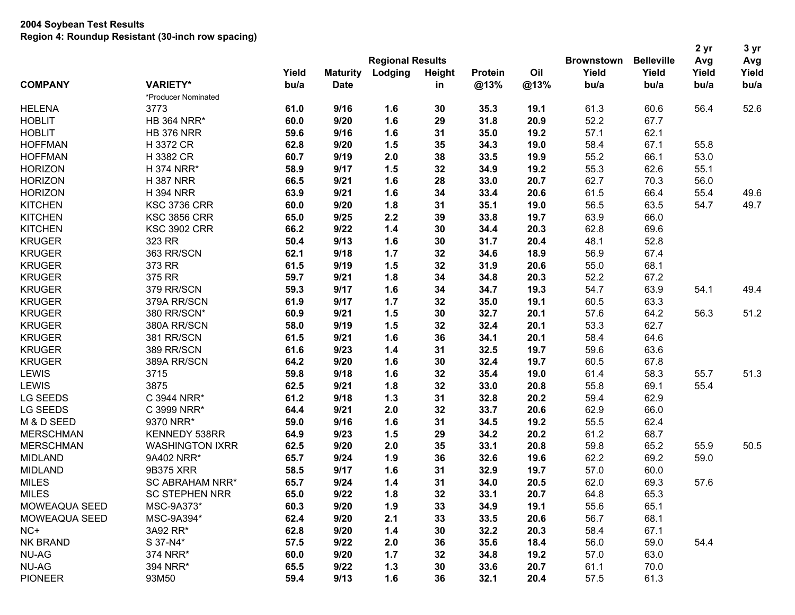|                  |                        |       |                         |         |        |                |      |                   |                   | 2 yr  |       |
|------------------|------------------------|-------|-------------------------|---------|--------|----------------|------|-------------------|-------------------|-------|-------|
|                  |                        |       | <b>Regional Results</b> |         |        |                |      | <b>Brownstown</b> | <b>Belleville</b> | Avg   | Avg   |
|                  |                        | Yield | <b>Maturity</b>         | Lodging | Height | <b>Protein</b> | Oil  | Yield             | Yield             | Yield | Yield |
| <b>COMPANY</b>   | <b>VARIETY*</b>        | bu/a  | <b>Date</b>             |         | in     | @13%           | @13% | bu/a              | bu/a              | bu/a  | bu/a  |
|                  | *Producer Nominated    |       |                         |         |        |                |      |                   |                   |       |       |
| <b>HELENA</b>    | 3773                   | 61.0  | 9/16                    | 1.6     | 30     | 35.3           | 19.1 | 61.3              | 60.6              | 56.4  | 52.6  |
| <b>HOBLIT</b>    | <b>HB 364 NRR*</b>     | 60.0  | 9/20                    | 1.6     | 29     | 31.8           | 20.9 | 52.2              | 67.7              |       |       |
| <b>HOBLIT</b>    | <b>HB 376 NRR</b>      | 59.6  | 9/16                    | 1.6     | 31     | 35.0           | 19.2 | 57.1              | 62.1              |       |       |
| <b>HOFFMAN</b>   | H 3372 CR              | 62.8  | 9/20                    | 1.5     | 35     | 34.3           | 19.0 | 58.4              | 67.1              | 55.8  |       |
| <b>HOFFMAN</b>   | H 3382 CR              | 60.7  | 9/19                    | 2.0     | 38     | 33.5           | 19.9 | 55.2              | 66.1              | 53.0  |       |
| <b>HORIZON</b>   | H 374 NRR*             | 58.9  | 9/17                    | 1.5     | 32     | 34.9           | 19.2 | 55.3              | 62.6              | 55.1  |       |
| <b>HORIZON</b>   | <b>H387 NRR</b>        | 66.5  | 9/21                    | 1.6     | 28     | 33.0           | 20.7 | 62.7              | 70.3              | 56.0  |       |
| <b>HORIZON</b>   | <b>H 394 NRR</b>       | 63.9  | 9/21                    | 1.6     | 34     | 33.4           | 20.6 | 61.5              | 66.4              | 55.4  | 49.6  |
| <b>KITCHEN</b>   | <b>KSC 3736 CRR</b>    | 60.0  | 9/20                    | 1.8     | 31     | 35.1           | 19.0 | 56.5              | 63.5              | 54.7  | 49.7  |
| <b>KITCHEN</b>   | <b>KSC 3856 CRR</b>    | 65.0  | 9/25                    | 2.2     | 39     | 33.8           | 19.7 | 63.9              | 66.0              |       |       |
| <b>KITCHEN</b>   | <b>KSC 3902 CRR</b>    | 66.2  | 9/22                    | 1.4     | 30     | 34.4           | 20.3 | 62.8              | 69.6              |       |       |
| <b>KRUGER</b>    | 323 RR                 | 50.4  | 9/13                    | 1.6     | 30     | 31.7           | 20.4 | 48.1              | 52.8              |       |       |
| <b>KRUGER</b>    | 363 RR/SCN             | 62.1  | 9/18                    | 1.7     | 32     | 34.6           | 18.9 | 56.9              | 67.4              |       |       |
| <b>KRUGER</b>    | 373 RR                 | 61.5  | 9/19                    | 1.5     | 32     | 31.9           | 20.6 | 55.0              | 68.1              |       |       |
| <b>KRUGER</b>    | 375 RR                 | 59.7  | 9/21                    | 1.8     | 34     | 34.8           | 20.3 | 52.2              | 67.2              |       |       |
| <b>KRUGER</b>    | 379 RR/SCN             | 59.3  | 9/17                    | 1.6     | 34     | 34.7           | 19.3 | 54.7              | 63.9              | 54.1  | 49.4  |
| <b>KRUGER</b>    | 379A RR/SCN            | 61.9  | 9/17                    | 1.7     | 32     | 35.0           | 19.1 | 60.5              | 63.3              |       |       |
| <b>KRUGER</b>    | 380 RR/SCN*            | 60.9  | 9/21                    | 1.5     | 30     | 32.7           | 20.1 | 57.6              | 64.2              | 56.3  | 51.2  |
| <b>KRUGER</b>    | 380A RR/SCN            | 58.0  | 9/19                    | 1.5     | 32     | 32.4           | 20.1 | 53.3              | 62.7              |       |       |
| <b>KRUGER</b>    | 381 RR/SCN             | 61.5  | 9/21                    | 1.6     | 36     | 34.1           | 20.1 | 58.4              | 64.6              |       |       |
| <b>KRUGER</b>    | 389 RR/SCN             | 61.6  | 9/23                    | 1.4     | 31     | 32.5           | 19.7 | 59.6              | 63.6              |       |       |
| <b>KRUGER</b>    | 389A RR/SCN            | 64.2  | 9/20                    | 1.6     | 30     | 32.4           | 19.7 | 60.5              | 67.8              |       |       |
| <b>LEWIS</b>     | 3715                   | 59.8  | 9/18                    | 1.6     | 32     | 35.4           | 19.0 | 61.4              | 58.3              | 55.7  | 51.3  |
| <b>LEWIS</b>     | 3875                   | 62.5  | 9/21                    | 1.8     | 32     | 33.0           | 20.8 | 55.8              | 69.1              | 55.4  |       |
| LG SEEDS         | C 3944 NRR*            | 61.2  | 9/18                    | $1.3$   | 31     | 32.8           | 20.2 | 59.4              | 62.9              |       |       |
| <b>LG SEEDS</b>  | C 3999 NRR*            | 64.4  | 9/21                    | 2.0     | 32     | 33.7           | 20.6 | 62.9              | 66.0              |       |       |
| M & D SEED       | 9370 NRR*              | 59.0  | 9/16                    | 1.6     | 31     | 34.5           | 19.2 | 55.5              | 62.4              |       |       |
| <b>MERSCHMAN</b> | KENNEDY 538RR          | 64.9  | 9/23                    | 1.5     | 29     | 34.2           | 20.2 | 61.2              | 68.7              |       |       |
| <b>MERSCHMAN</b> | <b>WASHINGTON IXRR</b> | 62.5  | 9/20                    | 2.0     | 35     | 33.1           | 20.8 | 59.8              | 65.2              | 55.9  | 50.5  |
| <b>MIDLAND</b>   | 9A402 NRR*             | 65.7  | 9/24                    | 1.9     | 36     | 32.6           | 19.6 | 62.2              | 69.2              | 59.0  |       |
| <b>MIDLAND</b>   | 9B375 XRR              | 58.5  | 9/17                    | 1.6     | 31     | 32.9           | 19.7 | 57.0              | 60.0              |       |       |
| <b>MILES</b>     | <b>SC ABRAHAM NRR*</b> | 65.7  | 9/24                    | 1.4     | 31     | 34.0           | 20.5 | 62.0              | 69.3              | 57.6  |       |
| <b>MILES</b>     | <b>SC STEPHEN NRR</b>  | 65.0  | 9/22                    | 1.8     | 32     | 33.1           | 20.7 | 64.8              | 65.3              |       |       |
| MOWEAQUA SEED    | MSC-9A373*             | 60.3  | 9/20                    |         |        |                |      | 55.6              | 65.1              |       |       |
|                  | MSC-9A394*             |       |                         | 1.9     | 33     | 34.9           | 19.1 |                   |                   |       |       |
| MOWEAQUA SEED    |                        | 62.4  | 9/20                    | 2.1     | 33     | 33.5           | 20.6 | 56.7              | 68.1              |       |       |
| $NC+$            | 3A92 RR*               | 62.8  | 9/20                    | 1.4     | 30     | 32.2           | 20.3 | 58.4              | 67.1              |       |       |
| NK BRAND         | S 37-N4*               | 57.5  | 9/22                    | 2.0     | 36     | 35.6           | 18.4 | 56.0              | 59.0              | 54.4  |       |
| NU-AG            | 374 NRR*               | 60.0  | 9/20                    | 1.7     | 32     | 34.8           | 19.2 | 57.0              | 63.0              |       |       |
| NU-AG            | 394 NRR*               | 65.5  | 9/22                    | 1.3     | 30     | 33.6           | 20.7 | 61.1              | 70.0              |       |       |
| <b>PIONEER</b>   | 93M50                  | 59.4  | 9/13                    | 1.6     | 36     | 32.1           | 20.4 | 57.5              | 61.3              |       |       |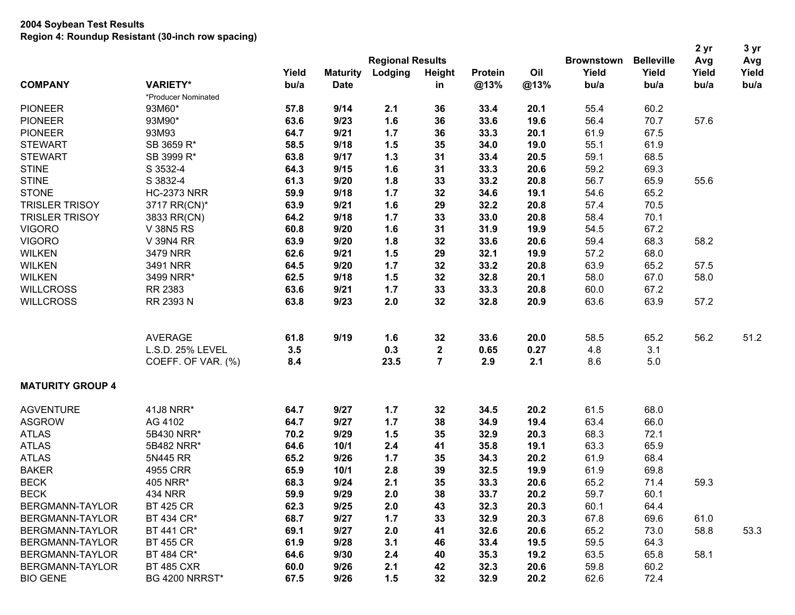| <b>Regional Results</b><br>Yield<br>Lodging<br>Height<br>Oil<br>Yield<br>Yield<br>Yield<br>Yield<br><b>Maturity</b><br><b>Protein</b><br><b>COMPANY</b><br><b>VARIETY*</b><br>bu/a<br><b>Date</b><br>@13%<br>@13%<br>bu/a<br>bu/a<br>in<br>bu/a<br>bu/a<br>*Producer Nominated<br><b>PIONEER</b><br>9/14<br>55.4<br>93M60*<br>57.8<br>2.1<br>36<br>33.4<br>20.1<br>60.2<br><b>PIONEER</b><br>9/23<br>1.6<br>36<br>33.6<br>19.6<br>56.4<br>70.7<br>57.6<br>93M90*<br>63.6<br><b>PIONEER</b><br>9/21<br>33.3<br>61.9<br>67.5<br>93M93<br>64.7<br>1.7<br>36<br>20.1<br><b>STEWART</b><br>1.5<br>35<br>34.0<br>19.0<br>55.1<br>61.9<br>SB 3659 R*<br>58.5<br>9/18<br><b>STEWART</b><br>SB 3999 R*<br>1.3<br>59.1<br>68.5<br>63.8<br>9/17<br>31<br>33.4<br>20.5<br><b>STINE</b><br>S 3532-4<br>33.3<br>20.6<br>59.2<br>69.3<br>64.3<br>9/15<br>1.6<br>31<br><b>STINE</b><br>S 3832-4<br>9/20<br>1.8<br>33<br>33.2<br>20.8<br>56.7<br>65.9<br>55.6<br>61.3<br><b>STONE</b><br><b>HC-2373 NRR</b><br>1.7<br>32<br>34.6<br>54.6<br>65.2<br>59.9<br>9/18<br>19.1<br><b>TRISLER TRISOY</b><br>9/21<br>1.6<br>32.2<br>57.4<br>3717 RR(CN)*<br>63.9<br>29<br>20.8<br>70.5<br>1.7<br>33<br>33.0<br>58.4<br>70.1<br><b>TRISLER TRISOY</b><br>3833 RR(CN)<br>64.2<br>9/18<br>20.8<br><b>VIGORO</b><br>9/20<br>1.6<br>31<br>31.9<br>54.5<br>67.2<br><b>V 38N5 RS</b><br>60.8<br>19.9<br><b>VIGORO</b><br>9/20<br>1.8<br>32<br>59.4<br>68.3<br>58.2<br>V 39N4 RR<br>63.9<br>33.6<br>20.6<br><b>WILKEN</b><br>9/21<br>1.5<br>32.1<br>57.2<br>68.0<br>3479 NRR<br>62.6<br>29<br>19.9<br><b>WILKEN</b><br>9/20<br>1.7<br>32<br>33.2<br>63.9<br>65.2<br>57.5<br>3491 NRR<br>64.5<br>20.8<br><b>WILKEN</b><br>1.5<br>32<br>32.8<br>58.0<br>67.0<br>58.0<br>3499 NRR*<br>62.5<br>9/18<br>20.1<br><b>WILLCROSS</b><br>RR 2383<br>9/21<br>33<br>33.3<br>60.0<br>63.6<br>1.7<br>20.8<br>67.2<br><b>WILLCROSS</b><br>9/23<br>2.0<br>32<br>32.8<br>63.9<br>57.2<br>RR 2393 N<br>63.8<br>20.9<br>63.6<br>51.2<br>9/19<br>58.5<br>56.2<br><b>AVERAGE</b><br>61.8<br>1.6<br>32<br>33.6<br>20.0<br>65.2<br>L.S.D. 25% LEVEL<br>3.5<br>0.3<br>$\overline{\mathbf{2}}$<br>0.65<br>0.27<br>4.8<br>3.1<br>$\overline{7}$<br>COEFF. OF VAR. (%)<br>8.4<br>23.5<br>2.9<br>2.1<br>8.6<br>5.0<br><b>MATURITY GROUP 4</b><br><b>AGVENTURE</b><br>41J8 NRR*<br>9/27<br>20.2<br>61.5<br>68.0<br>64.7<br>1.7<br>32<br>34.5<br><b>ASGROW</b><br>9/27<br>1.7<br>19.4<br>63.4<br>66.0<br>AG 4102<br>64.7<br>38<br>34.9<br>9/29<br>32.9<br>68.3<br>72.1<br><b>ATLAS</b><br>5B430 NRR*<br>70.2<br>1.5<br>35<br>20.3<br><b>ATLAS</b><br>35.8<br>63.3<br>65.9<br>5B482 NRR*<br>64.6<br>10/1<br>2.4<br>41<br>19.1<br><b>ATLAS</b><br>9/26<br>1.7<br>34.3<br>61.9<br>68.4<br>5N445 RR<br>65.2<br>35<br>20.2<br><b>BAKER</b><br>4955 CRR<br>65.9<br>10/1<br>2.8<br>39<br>32.5<br>19.9<br>61.9<br>69.8<br><b>BECK</b><br>68.3<br>9/24<br>2.1<br>35<br>33.3<br>20.6<br>65.2<br>71.4<br>59.3<br>405 NRR*<br>9/29<br>2.0<br><b>BECK</b><br><b>434 NRR</b><br>59.9<br>38<br>33.7<br>20.2<br>59.7<br>60.1<br>BERGMANN-TAYLOR<br><b>BT 425 CR</b><br>9/25<br>32.3<br>62.3<br>2.0<br>43<br>20.3<br>60.1<br>64.4<br>BERGMANN-TAYLOR<br>BT 434 CR*<br>68.7<br>9/27<br>32.9<br>20.3<br>67.8<br>61.0<br>1.7<br>33<br>69.6<br>69.1<br>9/27<br>32.6<br>20.6<br>58.8<br><b>BERGMANN-TAYLOR</b><br>BT 441 CR*<br>2.0<br>41<br>65.2<br>73.0<br>53.3<br>61.9<br>9/28<br>3.1<br>33.4<br>19.5<br>59.5<br>64.3<br>BERGMANN-TAYLOR<br><b>BT 455 CR</b><br>46<br>BERGMANN-TAYLOR<br>BT 484 CR*<br>9/30<br>35.3<br>19.2<br>58.1<br>64.6<br>2.4<br>63.5<br>65.8<br>40<br>BERGMANN-TAYLOR<br>9/26<br>2.1<br>32.3<br><b>BT 485 CXR</b><br>60.0<br>42<br>20.6<br>59.8<br>60.2 |                 |                       |      |      |     |    |      |      |                   |                   | 2 yr | 3 yr |
|---------------------------------------------------------------------------------------------------------------------------------------------------------------------------------------------------------------------------------------------------------------------------------------------------------------------------------------------------------------------------------------------------------------------------------------------------------------------------------------------------------------------------------------------------------------------------------------------------------------------------------------------------------------------------------------------------------------------------------------------------------------------------------------------------------------------------------------------------------------------------------------------------------------------------------------------------------------------------------------------------------------------------------------------------------------------------------------------------------------------------------------------------------------------------------------------------------------------------------------------------------------------------------------------------------------------------------------------------------------------------------------------------------------------------------------------------------------------------------------------------------------------------------------------------------------------------------------------------------------------------------------------------------------------------------------------------------------------------------------------------------------------------------------------------------------------------------------------------------------------------------------------------------------------------------------------------------------------------------------------------------------------------------------------------------------------------------------------------------------------------------------------------------------------------------------------------------------------------------------------------------------------------------------------------------------------------------------------------------------------------------------------------------------------------------------------------------------------------------------------------------------------------------------------------------------------------------------------------------------------------------------------------------------------------------------------------------------------------------------------------------------------------------------------------------------------------------------------------------------------------------------------------------------------------------------------------------------------------------------------------------------------------------------------------------------------------------------------------------------------------------------------------------------------------------------------------------------------------------------------------------------------------------------------------------------------------------------------------------------------------------------------------------------------------------------------------------------------------------------------------------------------------------------------------------------------------------------------------------------------------------------------------------------------------------------------|-----------------|-----------------------|------|------|-----|----|------|------|-------------------|-------------------|------|------|
|                                                                                                                                                                                                                                                                                                                                                                                                                                                                                                                                                                                                                                                                                                                                                                                                                                                                                                                                                                                                                                                                                                                                                                                                                                                                                                                                                                                                                                                                                                                                                                                                                                                                                                                                                                                                                                                                                                                                                                                                                                                                                                                                                                                                                                                                                                                                                                                                                                                                                                                                                                                                                                                                                                                                                                                                                                                                                                                                                                                                                                                                                                                                                                                                                                                                                                                                                                                                                                                                                                                                                                                                                                                                                             |                 |                       |      |      |     |    |      |      | <b>Brownstown</b> | <b>Belleville</b> | Avg  | Avg  |
|                                                                                                                                                                                                                                                                                                                                                                                                                                                                                                                                                                                                                                                                                                                                                                                                                                                                                                                                                                                                                                                                                                                                                                                                                                                                                                                                                                                                                                                                                                                                                                                                                                                                                                                                                                                                                                                                                                                                                                                                                                                                                                                                                                                                                                                                                                                                                                                                                                                                                                                                                                                                                                                                                                                                                                                                                                                                                                                                                                                                                                                                                                                                                                                                                                                                                                                                                                                                                                                                                                                                                                                                                                                                                             |                 |                       |      |      |     |    |      |      |                   |                   |      |      |
|                                                                                                                                                                                                                                                                                                                                                                                                                                                                                                                                                                                                                                                                                                                                                                                                                                                                                                                                                                                                                                                                                                                                                                                                                                                                                                                                                                                                                                                                                                                                                                                                                                                                                                                                                                                                                                                                                                                                                                                                                                                                                                                                                                                                                                                                                                                                                                                                                                                                                                                                                                                                                                                                                                                                                                                                                                                                                                                                                                                                                                                                                                                                                                                                                                                                                                                                                                                                                                                                                                                                                                                                                                                                                             |                 |                       |      |      |     |    |      |      |                   |                   |      |      |
|                                                                                                                                                                                                                                                                                                                                                                                                                                                                                                                                                                                                                                                                                                                                                                                                                                                                                                                                                                                                                                                                                                                                                                                                                                                                                                                                                                                                                                                                                                                                                                                                                                                                                                                                                                                                                                                                                                                                                                                                                                                                                                                                                                                                                                                                                                                                                                                                                                                                                                                                                                                                                                                                                                                                                                                                                                                                                                                                                                                                                                                                                                                                                                                                                                                                                                                                                                                                                                                                                                                                                                                                                                                                                             |                 |                       |      |      |     |    |      |      |                   |                   |      |      |
|                                                                                                                                                                                                                                                                                                                                                                                                                                                                                                                                                                                                                                                                                                                                                                                                                                                                                                                                                                                                                                                                                                                                                                                                                                                                                                                                                                                                                                                                                                                                                                                                                                                                                                                                                                                                                                                                                                                                                                                                                                                                                                                                                                                                                                                                                                                                                                                                                                                                                                                                                                                                                                                                                                                                                                                                                                                                                                                                                                                                                                                                                                                                                                                                                                                                                                                                                                                                                                                                                                                                                                                                                                                                                             |                 |                       |      |      |     |    |      |      |                   |                   |      |      |
|                                                                                                                                                                                                                                                                                                                                                                                                                                                                                                                                                                                                                                                                                                                                                                                                                                                                                                                                                                                                                                                                                                                                                                                                                                                                                                                                                                                                                                                                                                                                                                                                                                                                                                                                                                                                                                                                                                                                                                                                                                                                                                                                                                                                                                                                                                                                                                                                                                                                                                                                                                                                                                                                                                                                                                                                                                                                                                                                                                                                                                                                                                                                                                                                                                                                                                                                                                                                                                                                                                                                                                                                                                                                                             |                 |                       |      |      |     |    |      |      |                   |                   |      |      |
|                                                                                                                                                                                                                                                                                                                                                                                                                                                                                                                                                                                                                                                                                                                                                                                                                                                                                                                                                                                                                                                                                                                                                                                                                                                                                                                                                                                                                                                                                                                                                                                                                                                                                                                                                                                                                                                                                                                                                                                                                                                                                                                                                                                                                                                                                                                                                                                                                                                                                                                                                                                                                                                                                                                                                                                                                                                                                                                                                                                                                                                                                                                                                                                                                                                                                                                                                                                                                                                                                                                                                                                                                                                                                             |                 |                       |      |      |     |    |      |      |                   |                   |      |      |
|                                                                                                                                                                                                                                                                                                                                                                                                                                                                                                                                                                                                                                                                                                                                                                                                                                                                                                                                                                                                                                                                                                                                                                                                                                                                                                                                                                                                                                                                                                                                                                                                                                                                                                                                                                                                                                                                                                                                                                                                                                                                                                                                                                                                                                                                                                                                                                                                                                                                                                                                                                                                                                                                                                                                                                                                                                                                                                                                                                                                                                                                                                                                                                                                                                                                                                                                                                                                                                                                                                                                                                                                                                                                                             |                 |                       |      |      |     |    |      |      |                   |                   |      |      |
|                                                                                                                                                                                                                                                                                                                                                                                                                                                                                                                                                                                                                                                                                                                                                                                                                                                                                                                                                                                                                                                                                                                                                                                                                                                                                                                                                                                                                                                                                                                                                                                                                                                                                                                                                                                                                                                                                                                                                                                                                                                                                                                                                                                                                                                                                                                                                                                                                                                                                                                                                                                                                                                                                                                                                                                                                                                                                                                                                                                                                                                                                                                                                                                                                                                                                                                                                                                                                                                                                                                                                                                                                                                                                             |                 |                       |      |      |     |    |      |      |                   |                   |      |      |
|                                                                                                                                                                                                                                                                                                                                                                                                                                                                                                                                                                                                                                                                                                                                                                                                                                                                                                                                                                                                                                                                                                                                                                                                                                                                                                                                                                                                                                                                                                                                                                                                                                                                                                                                                                                                                                                                                                                                                                                                                                                                                                                                                                                                                                                                                                                                                                                                                                                                                                                                                                                                                                                                                                                                                                                                                                                                                                                                                                                                                                                                                                                                                                                                                                                                                                                                                                                                                                                                                                                                                                                                                                                                                             |                 |                       |      |      |     |    |      |      |                   |                   |      |      |
|                                                                                                                                                                                                                                                                                                                                                                                                                                                                                                                                                                                                                                                                                                                                                                                                                                                                                                                                                                                                                                                                                                                                                                                                                                                                                                                                                                                                                                                                                                                                                                                                                                                                                                                                                                                                                                                                                                                                                                                                                                                                                                                                                                                                                                                                                                                                                                                                                                                                                                                                                                                                                                                                                                                                                                                                                                                                                                                                                                                                                                                                                                                                                                                                                                                                                                                                                                                                                                                                                                                                                                                                                                                                                             |                 |                       |      |      |     |    |      |      |                   |                   |      |      |
|                                                                                                                                                                                                                                                                                                                                                                                                                                                                                                                                                                                                                                                                                                                                                                                                                                                                                                                                                                                                                                                                                                                                                                                                                                                                                                                                                                                                                                                                                                                                                                                                                                                                                                                                                                                                                                                                                                                                                                                                                                                                                                                                                                                                                                                                                                                                                                                                                                                                                                                                                                                                                                                                                                                                                                                                                                                                                                                                                                                                                                                                                                                                                                                                                                                                                                                                                                                                                                                                                                                                                                                                                                                                                             |                 |                       |      |      |     |    |      |      |                   |                   |      |      |
|                                                                                                                                                                                                                                                                                                                                                                                                                                                                                                                                                                                                                                                                                                                                                                                                                                                                                                                                                                                                                                                                                                                                                                                                                                                                                                                                                                                                                                                                                                                                                                                                                                                                                                                                                                                                                                                                                                                                                                                                                                                                                                                                                                                                                                                                                                                                                                                                                                                                                                                                                                                                                                                                                                                                                                                                                                                                                                                                                                                                                                                                                                                                                                                                                                                                                                                                                                                                                                                                                                                                                                                                                                                                                             |                 |                       |      |      |     |    |      |      |                   |                   |      |      |
|                                                                                                                                                                                                                                                                                                                                                                                                                                                                                                                                                                                                                                                                                                                                                                                                                                                                                                                                                                                                                                                                                                                                                                                                                                                                                                                                                                                                                                                                                                                                                                                                                                                                                                                                                                                                                                                                                                                                                                                                                                                                                                                                                                                                                                                                                                                                                                                                                                                                                                                                                                                                                                                                                                                                                                                                                                                                                                                                                                                                                                                                                                                                                                                                                                                                                                                                                                                                                                                                                                                                                                                                                                                                                             |                 |                       |      |      |     |    |      |      |                   |                   |      |      |
|                                                                                                                                                                                                                                                                                                                                                                                                                                                                                                                                                                                                                                                                                                                                                                                                                                                                                                                                                                                                                                                                                                                                                                                                                                                                                                                                                                                                                                                                                                                                                                                                                                                                                                                                                                                                                                                                                                                                                                                                                                                                                                                                                                                                                                                                                                                                                                                                                                                                                                                                                                                                                                                                                                                                                                                                                                                                                                                                                                                                                                                                                                                                                                                                                                                                                                                                                                                                                                                                                                                                                                                                                                                                                             |                 |                       |      |      |     |    |      |      |                   |                   |      |      |
|                                                                                                                                                                                                                                                                                                                                                                                                                                                                                                                                                                                                                                                                                                                                                                                                                                                                                                                                                                                                                                                                                                                                                                                                                                                                                                                                                                                                                                                                                                                                                                                                                                                                                                                                                                                                                                                                                                                                                                                                                                                                                                                                                                                                                                                                                                                                                                                                                                                                                                                                                                                                                                                                                                                                                                                                                                                                                                                                                                                                                                                                                                                                                                                                                                                                                                                                                                                                                                                                                                                                                                                                                                                                                             |                 |                       |      |      |     |    |      |      |                   |                   |      |      |
|                                                                                                                                                                                                                                                                                                                                                                                                                                                                                                                                                                                                                                                                                                                                                                                                                                                                                                                                                                                                                                                                                                                                                                                                                                                                                                                                                                                                                                                                                                                                                                                                                                                                                                                                                                                                                                                                                                                                                                                                                                                                                                                                                                                                                                                                                                                                                                                                                                                                                                                                                                                                                                                                                                                                                                                                                                                                                                                                                                                                                                                                                                                                                                                                                                                                                                                                                                                                                                                                                                                                                                                                                                                                                             |                 |                       |      |      |     |    |      |      |                   |                   |      |      |
|                                                                                                                                                                                                                                                                                                                                                                                                                                                                                                                                                                                                                                                                                                                                                                                                                                                                                                                                                                                                                                                                                                                                                                                                                                                                                                                                                                                                                                                                                                                                                                                                                                                                                                                                                                                                                                                                                                                                                                                                                                                                                                                                                                                                                                                                                                                                                                                                                                                                                                                                                                                                                                                                                                                                                                                                                                                                                                                                                                                                                                                                                                                                                                                                                                                                                                                                                                                                                                                                                                                                                                                                                                                                                             |                 |                       |      |      |     |    |      |      |                   |                   |      |      |
|                                                                                                                                                                                                                                                                                                                                                                                                                                                                                                                                                                                                                                                                                                                                                                                                                                                                                                                                                                                                                                                                                                                                                                                                                                                                                                                                                                                                                                                                                                                                                                                                                                                                                                                                                                                                                                                                                                                                                                                                                                                                                                                                                                                                                                                                                                                                                                                                                                                                                                                                                                                                                                                                                                                                                                                                                                                                                                                                                                                                                                                                                                                                                                                                                                                                                                                                                                                                                                                                                                                                                                                                                                                                                             |                 |                       |      |      |     |    |      |      |                   |                   |      |      |
|                                                                                                                                                                                                                                                                                                                                                                                                                                                                                                                                                                                                                                                                                                                                                                                                                                                                                                                                                                                                                                                                                                                                                                                                                                                                                                                                                                                                                                                                                                                                                                                                                                                                                                                                                                                                                                                                                                                                                                                                                                                                                                                                                                                                                                                                                                                                                                                                                                                                                                                                                                                                                                                                                                                                                                                                                                                                                                                                                                                                                                                                                                                                                                                                                                                                                                                                                                                                                                                                                                                                                                                                                                                                                             |                 |                       |      |      |     |    |      |      |                   |                   |      |      |
|                                                                                                                                                                                                                                                                                                                                                                                                                                                                                                                                                                                                                                                                                                                                                                                                                                                                                                                                                                                                                                                                                                                                                                                                                                                                                                                                                                                                                                                                                                                                                                                                                                                                                                                                                                                                                                                                                                                                                                                                                                                                                                                                                                                                                                                                                                                                                                                                                                                                                                                                                                                                                                                                                                                                                                                                                                                                                                                                                                                                                                                                                                                                                                                                                                                                                                                                                                                                                                                                                                                                                                                                                                                                                             |                 |                       |      |      |     |    |      |      |                   |                   |      |      |
|                                                                                                                                                                                                                                                                                                                                                                                                                                                                                                                                                                                                                                                                                                                                                                                                                                                                                                                                                                                                                                                                                                                                                                                                                                                                                                                                                                                                                                                                                                                                                                                                                                                                                                                                                                                                                                                                                                                                                                                                                                                                                                                                                                                                                                                                                                                                                                                                                                                                                                                                                                                                                                                                                                                                                                                                                                                                                                                                                                                                                                                                                                                                                                                                                                                                                                                                                                                                                                                                                                                                                                                                                                                                                             |                 |                       |      |      |     |    |      |      |                   |                   |      |      |
|                                                                                                                                                                                                                                                                                                                                                                                                                                                                                                                                                                                                                                                                                                                                                                                                                                                                                                                                                                                                                                                                                                                                                                                                                                                                                                                                                                                                                                                                                                                                                                                                                                                                                                                                                                                                                                                                                                                                                                                                                                                                                                                                                                                                                                                                                                                                                                                                                                                                                                                                                                                                                                                                                                                                                                                                                                                                                                                                                                                                                                                                                                                                                                                                                                                                                                                                                                                                                                                                                                                                                                                                                                                                                             |                 |                       |      |      |     |    |      |      |                   |                   |      |      |
|                                                                                                                                                                                                                                                                                                                                                                                                                                                                                                                                                                                                                                                                                                                                                                                                                                                                                                                                                                                                                                                                                                                                                                                                                                                                                                                                                                                                                                                                                                                                                                                                                                                                                                                                                                                                                                                                                                                                                                                                                                                                                                                                                                                                                                                                                                                                                                                                                                                                                                                                                                                                                                                                                                                                                                                                                                                                                                                                                                                                                                                                                                                                                                                                                                                                                                                                                                                                                                                                                                                                                                                                                                                                                             |                 |                       |      |      |     |    |      |      |                   |                   |      |      |
|                                                                                                                                                                                                                                                                                                                                                                                                                                                                                                                                                                                                                                                                                                                                                                                                                                                                                                                                                                                                                                                                                                                                                                                                                                                                                                                                                                                                                                                                                                                                                                                                                                                                                                                                                                                                                                                                                                                                                                                                                                                                                                                                                                                                                                                                                                                                                                                                                                                                                                                                                                                                                                                                                                                                                                                                                                                                                                                                                                                                                                                                                                                                                                                                                                                                                                                                                                                                                                                                                                                                                                                                                                                                                             |                 |                       |      |      |     |    |      |      |                   |                   |      |      |
|                                                                                                                                                                                                                                                                                                                                                                                                                                                                                                                                                                                                                                                                                                                                                                                                                                                                                                                                                                                                                                                                                                                                                                                                                                                                                                                                                                                                                                                                                                                                                                                                                                                                                                                                                                                                                                                                                                                                                                                                                                                                                                                                                                                                                                                                                                                                                                                                                                                                                                                                                                                                                                                                                                                                                                                                                                                                                                                                                                                                                                                                                                                                                                                                                                                                                                                                                                                                                                                                                                                                                                                                                                                                                             |                 |                       |      |      |     |    |      |      |                   |                   |      |      |
|                                                                                                                                                                                                                                                                                                                                                                                                                                                                                                                                                                                                                                                                                                                                                                                                                                                                                                                                                                                                                                                                                                                                                                                                                                                                                                                                                                                                                                                                                                                                                                                                                                                                                                                                                                                                                                                                                                                                                                                                                                                                                                                                                                                                                                                                                                                                                                                                                                                                                                                                                                                                                                                                                                                                                                                                                                                                                                                                                                                                                                                                                                                                                                                                                                                                                                                                                                                                                                                                                                                                                                                                                                                                                             |                 |                       |      |      |     |    |      |      |                   |                   |      |      |
|                                                                                                                                                                                                                                                                                                                                                                                                                                                                                                                                                                                                                                                                                                                                                                                                                                                                                                                                                                                                                                                                                                                                                                                                                                                                                                                                                                                                                                                                                                                                                                                                                                                                                                                                                                                                                                                                                                                                                                                                                                                                                                                                                                                                                                                                                                                                                                                                                                                                                                                                                                                                                                                                                                                                                                                                                                                                                                                                                                                                                                                                                                                                                                                                                                                                                                                                                                                                                                                                                                                                                                                                                                                                                             |                 |                       |      |      |     |    |      |      |                   |                   |      |      |
|                                                                                                                                                                                                                                                                                                                                                                                                                                                                                                                                                                                                                                                                                                                                                                                                                                                                                                                                                                                                                                                                                                                                                                                                                                                                                                                                                                                                                                                                                                                                                                                                                                                                                                                                                                                                                                                                                                                                                                                                                                                                                                                                                                                                                                                                                                                                                                                                                                                                                                                                                                                                                                                                                                                                                                                                                                                                                                                                                                                                                                                                                                                                                                                                                                                                                                                                                                                                                                                                                                                                                                                                                                                                                             |                 |                       |      |      |     |    |      |      |                   |                   |      |      |
|                                                                                                                                                                                                                                                                                                                                                                                                                                                                                                                                                                                                                                                                                                                                                                                                                                                                                                                                                                                                                                                                                                                                                                                                                                                                                                                                                                                                                                                                                                                                                                                                                                                                                                                                                                                                                                                                                                                                                                                                                                                                                                                                                                                                                                                                                                                                                                                                                                                                                                                                                                                                                                                                                                                                                                                                                                                                                                                                                                                                                                                                                                                                                                                                                                                                                                                                                                                                                                                                                                                                                                                                                                                                                             |                 |                       |      |      |     |    |      |      |                   |                   |      |      |
|                                                                                                                                                                                                                                                                                                                                                                                                                                                                                                                                                                                                                                                                                                                                                                                                                                                                                                                                                                                                                                                                                                                                                                                                                                                                                                                                                                                                                                                                                                                                                                                                                                                                                                                                                                                                                                                                                                                                                                                                                                                                                                                                                                                                                                                                                                                                                                                                                                                                                                                                                                                                                                                                                                                                                                                                                                                                                                                                                                                                                                                                                                                                                                                                                                                                                                                                                                                                                                                                                                                                                                                                                                                                                             |                 |                       |      |      |     |    |      |      |                   |                   |      |      |
|                                                                                                                                                                                                                                                                                                                                                                                                                                                                                                                                                                                                                                                                                                                                                                                                                                                                                                                                                                                                                                                                                                                                                                                                                                                                                                                                                                                                                                                                                                                                                                                                                                                                                                                                                                                                                                                                                                                                                                                                                                                                                                                                                                                                                                                                                                                                                                                                                                                                                                                                                                                                                                                                                                                                                                                                                                                                                                                                                                                                                                                                                                                                                                                                                                                                                                                                                                                                                                                                                                                                                                                                                                                                                             |                 |                       |      |      |     |    |      |      |                   |                   |      |      |
|                                                                                                                                                                                                                                                                                                                                                                                                                                                                                                                                                                                                                                                                                                                                                                                                                                                                                                                                                                                                                                                                                                                                                                                                                                                                                                                                                                                                                                                                                                                                                                                                                                                                                                                                                                                                                                                                                                                                                                                                                                                                                                                                                                                                                                                                                                                                                                                                                                                                                                                                                                                                                                                                                                                                                                                                                                                                                                                                                                                                                                                                                                                                                                                                                                                                                                                                                                                                                                                                                                                                                                                                                                                                                             |                 |                       |      |      |     |    |      |      |                   |                   |      |      |
|                                                                                                                                                                                                                                                                                                                                                                                                                                                                                                                                                                                                                                                                                                                                                                                                                                                                                                                                                                                                                                                                                                                                                                                                                                                                                                                                                                                                                                                                                                                                                                                                                                                                                                                                                                                                                                                                                                                                                                                                                                                                                                                                                                                                                                                                                                                                                                                                                                                                                                                                                                                                                                                                                                                                                                                                                                                                                                                                                                                                                                                                                                                                                                                                                                                                                                                                                                                                                                                                                                                                                                                                                                                                                             |                 |                       |      |      |     |    |      |      |                   |                   |      |      |
|                                                                                                                                                                                                                                                                                                                                                                                                                                                                                                                                                                                                                                                                                                                                                                                                                                                                                                                                                                                                                                                                                                                                                                                                                                                                                                                                                                                                                                                                                                                                                                                                                                                                                                                                                                                                                                                                                                                                                                                                                                                                                                                                                                                                                                                                                                                                                                                                                                                                                                                                                                                                                                                                                                                                                                                                                                                                                                                                                                                                                                                                                                                                                                                                                                                                                                                                                                                                                                                                                                                                                                                                                                                                                             |                 |                       |      |      |     |    |      |      |                   |                   |      |      |
|                                                                                                                                                                                                                                                                                                                                                                                                                                                                                                                                                                                                                                                                                                                                                                                                                                                                                                                                                                                                                                                                                                                                                                                                                                                                                                                                                                                                                                                                                                                                                                                                                                                                                                                                                                                                                                                                                                                                                                                                                                                                                                                                                                                                                                                                                                                                                                                                                                                                                                                                                                                                                                                                                                                                                                                                                                                                                                                                                                                                                                                                                                                                                                                                                                                                                                                                                                                                                                                                                                                                                                                                                                                                                             |                 |                       |      |      |     |    |      |      |                   |                   |      |      |
|                                                                                                                                                                                                                                                                                                                                                                                                                                                                                                                                                                                                                                                                                                                                                                                                                                                                                                                                                                                                                                                                                                                                                                                                                                                                                                                                                                                                                                                                                                                                                                                                                                                                                                                                                                                                                                                                                                                                                                                                                                                                                                                                                                                                                                                                                                                                                                                                                                                                                                                                                                                                                                                                                                                                                                                                                                                                                                                                                                                                                                                                                                                                                                                                                                                                                                                                                                                                                                                                                                                                                                                                                                                                                             |                 |                       |      |      |     |    |      |      |                   |                   |      |      |
|                                                                                                                                                                                                                                                                                                                                                                                                                                                                                                                                                                                                                                                                                                                                                                                                                                                                                                                                                                                                                                                                                                                                                                                                                                                                                                                                                                                                                                                                                                                                                                                                                                                                                                                                                                                                                                                                                                                                                                                                                                                                                                                                                                                                                                                                                                                                                                                                                                                                                                                                                                                                                                                                                                                                                                                                                                                                                                                                                                                                                                                                                                                                                                                                                                                                                                                                                                                                                                                                                                                                                                                                                                                                                             |                 |                       |      |      |     |    |      |      |                   |                   |      |      |
|                                                                                                                                                                                                                                                                                                                                                                                                                                                                                                                                                                                                                                                                                                                                                                                                                                                                                                                                                                                                                                                                                                                                                                                                                                                                                                                                                                                                                                                                                                                                                                                                                                                                                                                                                                                                                                                                                                                                                                                                                                                                                                                                                                                                                                                                                                                                                                                                                                                                                                                                                                                                                                                                                                                                                                                                                                                                                                                                                                                                                                                                                                                                                                                                                                                                                                                                                                                                                                                                                                                                                                                                                                                                                             |                 |                       |      |      |     |    |      |      |                   |                   |      |      |
|                                                                                                                                                                                                                                                                                                                                                                                                                                                                                                                                                                                                                                                                                                                                                                                                                                                                                                                                                                                                                                                                                                                                                                                                                                                                                                                                                                                                                                                                                                                                                                                                                                                                                                                                                                                                                                                                                                                                                                                                                                                                                                                                                                                                                                                                                                                                                                                                                                                                                                                                                                                                                                                                                                                                                                                                                                                                                                                                                                                                                                                                                                                                                                                                                                                                                                                                                                                                                                                                                                                                                                                                                                                                                             |                 |                       |      |      |     |    |      |      |                   |                   |      |      |
|                                                                                                                                                                                                                                                                                                                                                                                                                                                                                                                                                                                                                                                                                                                                                                                                                                                                                                                                                                                                                                                                                                                                                                                                                                                                                                                                                                                                                                                                                                                                                                                                                                                                                                                                                                                                                                                                                                                                                                                                                                                                                                                                                                                                                                                                                                                                                                                                                                                                                                                                                                                                                                                                                                                                                                                                                                                                                                                                                                                                                                                                                                                                                                                                                                                                                                                                                                                                                                                                                                                                                                                                                                                                                             | <b>BIO GENE</b> | <b>BG 4200 NRRST*</b> | 67.5 | 9/26 | 1.5 | 32 | 32.9 | 20.2 | 62.6              | 72.4              |      |      |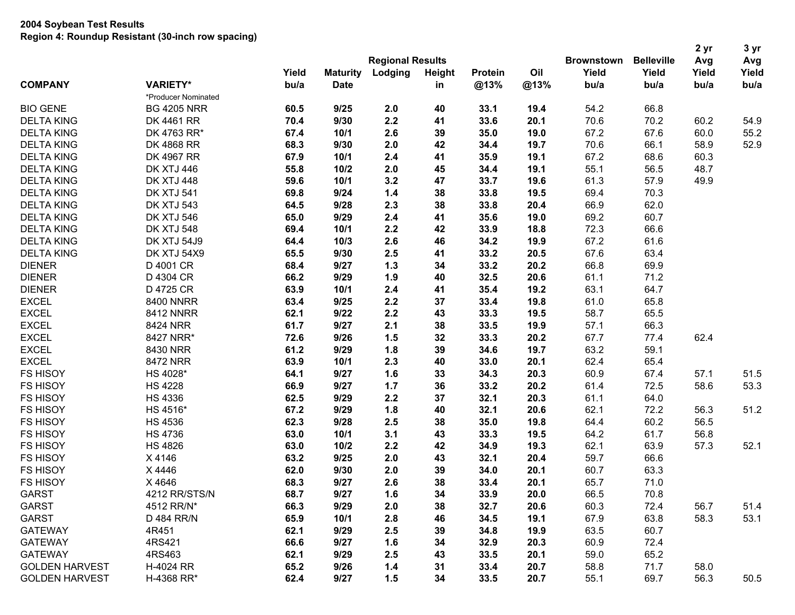| <b>Regional Results</b><br>Yield<br>Oil<br>Yield<br>Yield<br>Yield<br>Yield<br><b>Maturity</b><br>Lodging<br>Height<br><b>Protein</b><br><b>COMPANY</b><br><b>VARIETY*</b><br>bu/a<br>@13%<br>@13%<br>bu/a<br><b>Date</b><br>bu/a<br>bu/a<br>bu/a<br>in<br>*Producer Nominated<br>9/25<br>54.2<br><b>BIO GENE</b><br><b>BG 4205 NRR</b><br>60.5<br>2.0<br>40<br>33.1<br>19.4<br>66.8<br>9/30<br>2.2<br>33.6<br>70.6<br>70.2<br><b>DELTA KING</b><br>DK 4461 RR<br>70.4<br>41<br>20.1<br>60.2<br>54.9<br>2.6<br>67.6<br>55.2<br><b>DELTA KING</b><br>DK 4763 RR*<br>67.4<br>10/1<br>39<br>35.0<br>19.0<br>67.2<br>60.0<br>2.0<br>70.6<br>52.9<br><b>DELTA KING</b><br>DK 4868 RR<br>68.3<br>9/30<br>42<br>34.4<br>19.7<br>66.1<br>58.9<br>2.4<br>67.2<br>68.6<br><b>DELTA KING</b><br>DK 4967 RR<br>67.9<br>10/1<br>41<br>35.9<br>19.1<br>60.3<br><b>DK XTJ 446</b><br>2.0<br>55.1<br><b>DELTA KING</b><br>55.8<br>10/2<br>45<br>34.4<br>19.1<br>56.5<br>48.7<br>3.2<br>61.3<br>57.9<br><b>DELTA KING</b><br><b>DK XTJ 448</b><br>59.6<br>10/1<br>47<br>33.7<br>19.6<br>49.9<br>1.4<br>33.8<br>69.4<br>70.3<br><b>DELTA KING</b><br><b>DK XTJ 541</b><br>69.8<br>9/24<br>38<br>19.5<br>2.3<br>66.9<br>62.0<br><b>DELTA KING</b><br><b>DK XTJ 543</b><br>64.5<br>9/28<br>38<br>33.8<br>20.4<br>2.4<br>35.6<br>69.2<br>60.7<br><b>DELTA KING</b><br><b>DK XTJ 546</b><br>65.0<br>9/29<br>41<br>19.0<br>2.2<br>72.3<br>66.6<br><b>DELTA KING</b><br><b>DK XTJ 548</b><br>69.4<br>10/1<br>42<br>33.9<br>18.8<br>2.6<br>34.2<br>67.2<br>61.6<br><b>DELTA KING</b><br>DK XTJ 54J9<br>64.4<br>10/3<br>46<br>19.9<br>2.5<br>33.2<br>67.6<br>63.4<br><b>DELTA KING</b><br>DK XTJ 54X9<br>65.5<br>9/30<br>41<br>20.5<br><b>DIENER</b><br>9/27<br>$1.3$<br>33.2<br>66.8<br>69.9<br>D 4001 CR<br>68.4<br>34<br>20.2<br><b>DIENER</b><br>9/29<br>61.1<br>71.2<br>D 4304 CR<br>66.2<br>1.9<br>40<br>32.5<br>20.6<br>D 4725 CR<br>2.4<br>35.4<br>63.1<br>64.7<br><b>DIENER</b><br>63.9<br>10/1<br>41<br>19.2<br><b>EXCEL</b><br>2.2<br>61.0<br>65.8<br><b>8400 NNRR</b><br>63.4<br>9/25<br>37<br>33.4<br>19.8<br>2.2<br><b>EXCEL</b><br>9/22<br>58.7<br><b>8412 NNRR</b><br>62.1<br>43<br>33.3<br>19.5<br>65.5<br><b>EXCEL</b><br>2.1<br>66.3<br>8424 NRR<br>61.7<br>9/27<br>38<br>33.5<br>19.9<br>57.1<br><b>EXCEL</b><br>1.5<br>33.3<br>67.7<br>77.4<br>62.4<br>8427 NRR*<br>72.6<br>9/26<br>32<br>20.2<br>61.2<br>9/29<br>1.8<br>34.6<br>63.2<br>59.1<br>8430 NRR<br>39<br>19.7<br>2.3<br>62.4<br>8472 NRR<br>63.9<br>10/1<br>33.0<br>20.1<br>65.4<br>40<br>1.6<br>34.3<br>60.9<br>51.5<br>HS 4028*<br>64.1<br>9/27<br>33<br>20.3<br>67.4<br>57.1<br><b>HS 4228</b><br>66.9<br>9/27<br>33.2<br>20.2<br>61.4<br>72.5<br>58.6<br>53.3<br>1.7<br>36<br><b>HS 4336</b><br>9/29<br>2.2<br>32.1<br>61.1<br>62.5<br>37<br>20.3<br>64.0<br>HS 4516*<br>1.8<br>32.1<br>62.1<br>51.2<br>67.2<br>9/29<br>40<br>20.6<br>72.2<br>56.3<br>62.3<br>9/28<br>2.5<br>35.0<br>64.4<br>60.2<br>56.5<br><b>HS 4536</b><br>38<br>19.8<br><b>HS 4736</b><br>3.1<br>61.7<br>63.0<br>10/1<br>43<br>33.3<br>19.5<br>64.2<br>56.8<br>2.2<br>62.1<br>63.9<br><b>HS 4826</b><br>63.0<br>10/2<br>42<br>34.9<br>19.3<br>57.3<br>52.1<br>2.0<br>59.7<br>66.6<br>X 4146<br>63.2<br>9/25<br>43<br>32.1<br>20.4<br>2.0<br>X 4446<br>62.0<br>9/30<br>39<br>34.0<br>20.1<br>60.7<br>63.3<br>2.6<br>X 4646<br>68.3<br>71.0<br>9/27<br>38<br>33.4<br>20.1<br>65.7<br>4212 RR/STS/N<br>68.7<br>9/27<br>1.6<br>34<br>33.9<br>20.0<br>66.5<br>70.8<br>66.3<br>9/29<br>60.3<br>51.4<br>4512 RR/N*<br>2.0<br>38<br>32.7<br>20.6<br>72.4<br>56.7<br>D 484 RR/N<br>65.9<br>10/1<br>2.8<br>34.5<br>19.1<br>67.9<br>63.8<br>58.3<br>53.1<br>46<br><b>GATEWAY</b><br>4R451<br>62.1<br>9/29<br>2.5<br>34.8<br>19.9<br>63.5<br>60.7<br>39<br>4RS421<br>66.6<br>9/27<br>1.6<br>32.9<br>20.3<br>60.9<br>72.4<br>34<br><b>GATEWAY</b><br>4RS463<br>62.1<br>9/29<br>2.5<br>33.5<br>20.1<br>59.0<br>65.2<br>43<br>H-4024 RR<br>65.2<br>9/26<br>1.4<br>33.4<br>20.7<br>58.8<br>71.7<br>31<br>58.0 |                       |            |      |      |     |    |      |      |                   |                   | 2 yr | 3 yr |
|-----------------------------------------------------------------------------------------------------------------------------------------------------------------------------------------------------------------------------------------------------------------------------------------------------------------------------------------------------------------------------------------------------------------------------------------------------------------------------------------------------------------------------------------------------------------------------------------------------------------------------------------------------------------------------------------------------------------------------------------------------------------------------------------------------------------------------------------------------------------------------------------------------------------------------------------------------------------------------------------------------------------------------------------------------------------------------------------------------------------------------------------------------------------------------------------------------------------------------------------------------------------------------------------------------------------------------------------------------------------------------------------------------------------------------------------------------------------------------------------------------------------------------------------------------------------------------------------------------------------------------------------------------------------------------------------------------------------------------------------------------------------------------------------------------------------------------------------------------------------------------------------------------------------------------------------------------------------------------------------------------------------------------------------------------------------------------------------------------------------------------------------------------------------------------------------------------------------------------------------------------------------------------------------------------------------------------------------------------------------------------------------------------------------------------------------------------------------------------------------------------------------------------------------------------------------------------------------------------------------------------------------------------------------------------------------------------------------------------------------------------------------------------------------------------------------------------------------------------------------------------------------------------------------------------------------------------------------------------------------------------------------------------------------------------------------------------------------------------------------------------------------------------------------------------------------------------------------------------------------------------------------------------------------------------------------------------------------------------------------------------------------------------------------------------------------------------------------------------------------------------------------------------------------------------------------------------------------------------------------------------------------------------------------------------------------------------------------------------------------------------------------------------------------------------------------------------------------------------------------------------------------------------------------------------------------------------------------------------------------------------------------------------|-----------------------|------------|------|------|-----|----|------|------|-------------------|-------------------|------|------|
|                                                                                                                                                                                                                                                                                                                                                                                                                                                                                                                                                                                                                                                                                                                                                                                                                                                                                                                                                                                                                                                                                                                                                                                                                                                                                                                                                                                                                                                                                                                                                                                                                                                                                                                                                                                                                                                                                                                                                                                                                                                                                                                                                                                                                                                                                                                                                                                                                                                                                                                                                                                                                                                                                                                                                                                                                                                                                                                                                                                                                                                                                                                                                                                                                                                                                                                                                                                                                                                                                                                                                                                                                                                                                                                                                                                                                                                                                                                                                                                                                             |                       |            |      |      |     |    |      |      | <b>Brownstown</b> | <b>Belleville</b> | Avg  | Avg  |
|                                                                                                                                                                                                                                                                                                                                                                                                                                                                                                                                                                                                                                                                                                                                                                                                                                                                                                                                                                                                                                                                                                                                                                                                                                                                                                                                                                                                                                                                                                                                                                                                                                                                                                                                                                                                                                                                                                                                                                                                                                                                                                                                                                                                                                                                                                                                                                                                                                                                                                                                                                                                                                                                                                                                                                                                                                                                                                                                                                                                                                                                                                                                                                                                                                                                                                                                                                                                                                                                                                                                                                                                                                                                                                                                                                                                                                                                                                                                                                                                                             |                       |            |      |      |     |    |      |      |                   |                   |      |      |
|                                                                                                                                                                                                                                                                                                                                                                                                                                                                                                                                                                                                                                                                                                                                                                                                                                                                                                                                                                                                                                                                                                                                                                                                                                                                                                                                                                                                                                                                                                                                                                                                                                                                                                                                                                                                                                                                                                                                                                                                                                                                                                                                                                                                                                                                                                                                                                                                                                                                                                                                                                                                                                                                                                                                                                                                                                                                                                                                                                                                                                                                                                                                                                                                                                                                                                                                                                                                                                                                                                                                                                                                                                                                                                                                                                                                                                                                                                                                                                                                                             |                       |            |      |      |     |    |      |      |                   |                   |      |      |
|                                                                                                                                                                                                                                                                                                                                                                                                                                                                                                                                                                                                                                                                                                                                                                                                                                                                                                                                                                                                                                                                                                                                                                                                                                                                                                                                                                                                                                                                                                                                                                                                                                                                                                                                                                                                                                                                                                                                                                                                                                                                                                                                                                                                                                                                                                                                                                                                                                                                                                                                                                                                                                                                                                                                                                                                                                                                                                                                                                                                                                                                                                                                                                                                                                                                                                                                                                                                                                                                                                                                                                                                                                                                                                                                                                                                                                                                                                                                                                                                                             |                       |            |      |      |     |    |      |      |                   |                   |      |      |
|                                                                                                                                                                                                                                                                                                                                                                                                                                                                                                                                                                                                                                                                                                                                                                                                                                                                                                                                                                                                                                                                                                                                                                                                                                                                                                                                                                                                                                                                                                                                                                                                                                                                                                                                                                                                                                                                                                                                                                                                                                                                                                                                                                                                                                                                                                                                                                                                                                                                                                                                                                                                                                                                                                                                                                                                                                                                                                                                                                                                                                                                                                                                                                                                                                                                                                                                                                                                                                                                                                                                                                                                                                                                                                                                                                                                                                                                                                                                                                                                                             |                       |            |      |      |     |    |      |      |                   |                   |      |      |
|                                                                                                                                                                                                                                                                                                                                                                                                                                                                                                                                                                                                                                                                                                                                                                                                                                                                                                                                                                                                                                                                                                                                                                                                                                                                                                                                                                                                                                                                                                                                                                                                                                                                                                                                                                                                                                                                                                                                                                                                                                                                                                                                                                                                                                                                                                                                                                                                                                                                                                                                                                                                                                                                                                                                                                                                                                                                                                                                                                                                                                                                                                                                                                                                                                                                                                                                                                                                                                                                                                                                                                                                                                                                                                                                                                                                                                                                                                                                                                                                                             |                       |            |      |      |     |    |      |      |                   |                   |      |      |
|                                                                                                                                                                                                                                                                                                                                                                                                                                                                                                                                                                                                                                                                                                                                                                                                                                                                                                                                                                                                                                                                                                                                                                                                                                                                                                                                                                                                                                                                                                                                                                                                                                                                                                                                                                                                                                                                                                                                                                                                                                                                                                                                                                                                                                                                                                                                                                                                                                                                                                                                                                                                                                                                                                                                                                                                                                                                                                                                                                                                                                                                                                                                                                                                                                                                                                                                                                                                                                                                                                                                                                                                                                                                                                                                                                                                                                                                                                                                                                                                                             |                       |            |      |      |     |    |      |      |                   |                   |      |      |
|                                                                                                                                                                                                                                                                                                                                                                                                                                                                                                                                                                                                                                                                                                                                                                                                                                                                                                                                                                                                                                                                                                                                                                                                                                                                                                                                                                                                                                                                                                                                                                                                                                                                                                                                                                                                                                                                                                                                                                                                                                                                                                                                                                                                                                                                                                                                                                                                                                                                                                                                                                                                                                                                                                                                                                                                                                                                                                                                                                                                                                                                                                                                                                                                                                                                                                                                                                                                                                                                                                                                                                                                                                                                                                                                                                                                                                                                                                                                                                                                                             |                       |            |      |      |     |    |      |      |                   |                   |      |      |
|                                                                                                                                                                                                                                                                                                                                                                                                                                                                                                                                                                                                                                                                                                                                                                                                                                                                                                                                                                                                                                                                                                                                                                                                                                                                                                                                                                                                                                                                                                                                                                                                                                                                                                                                                                                                                                                                                                                                                                                                                                                                                                                                                                                                                                                                                                                                                                                                                                                                                                                                                                                                                                                                                                                                                                                                                                                                                                                                                                                                                                                                                                                                                                                                                                                                                                                                                                                                                                                                                                                                                                                                                                                                                                                                                                                                                                                                                                                                                                                                                             |                       |            |      |      |     |    |      |      |                   |                   |      |      |
|                                                                                                                                                                                                                                                                                                                                                                                                                                                                                                                                                                                                                                                                                                                                                                                                                                                                                                                                                                                                                                                                                                                                                                                                                                                                                                                                                                                                                                                                                                                                                                                                                                                                                                                                                                                                                                                                                                                                                                                                                                                                                                                                                                                                                                                                                                                                                                                                                                                                                                                                                                                                                                                                                                                                                                                                                                                                                                                                                                                                                                                                                                                                                                                                                                                                                                                                                                                                                                                                                                                                                                                                                                                                                                                                                                                                                                                                                                                                                                                                                             |                       |            |      |      |     |    |      |      |                   |                   |      |      |
|                                                                                                                                                                                                                                                                                                                                                                                                                                                                                                                                                                                                                                                                                                                                                                                                                                                                                                                                                                                                                                                                                                                                                                                                                                                                                                                                                                                                                                                                                                                                                                                                                                                                                                                                                                                                                                                                                                                                                                                                                                                                                                                                                                                                                                                                                                                                                                                                                                                                                                                                                                                                                                                                                                                                                                                                                                                                                                                                                                                                                                                                                                                                                                                                                                                                                                                                                                                                                                                                                                                                                                                                                                                                                                                                                                                                                                                                                                                                                                                                                             |                       |            |      |      |     |    |      |      |                   |                   |      |      |
|                                                                                                                                                                                                                                                                                                                                                                                                                                                                                                                                                                                                                                                                                                                                                                                                                                                                                                                                                                                                                                                                                                                                                                                                                                                                                                                                                                                                                                                                                                                                                                                                                                                                                                                                                                                                                                                                                                                                                                                                                                                                                                                                                                                                                                                                                                                                                                                                                                                                                                                                                                                                                                                                                                                                                                                                                                                                                                                                                                                                                                                                                                                                                                                                                                                                                                                                                                                                                                                                                                                                                                                                                                                                                                                                                                                                                                                                                                                                                                                                                             |                       |            |      |      |     |    |      |      |                   |                   |      |      |
|                                                                                                                                                                                                                                                                                                                                                                                                                                                                                                                                                                                                                                                                                                                                                                                                                                                                                                                                                                                                                                                                                                                                                                                                                                                                                                                                                                                                                                                                                                                                                                                                                                                                                                                                                                                                                                                                                                                                                                                                                                                                                                                                                                                                                                                                                                                                                                                                                                                                                                                                                                                                                                                                                                                                                                                                                                                                                                                                                                                                                                                                                                                                                                                                                                                                                                                                                                                                                                                                                                                                                                                                                                                                                                                                                                                                                                                                                                                                                                                                                             |                       |            |      |      |     |    |      |      |                   |                   |      |      |
|                                                                                                                                                                                                                                                                                                                                                                                                                                                                                                                                                                                                                                                                                                                                                                                                                                                                                                                                                                                                                                                                                                                                                                                                                                                                                                                                                                                                                                                                                                                                                                                                                                                                                                                                                                                                                                                                                                                                                                                                                                                                                                                                                                                                                                                                                                                                                                                                                                                                                                                                                                                                                                                                                                                                                                                                                                                                                                                                                                                                                                                                                                                                                                                                                                                                                                                                                                                                                                                                                                                                                                                                                                                                                                                                                                                                                                                                                                                                                                                                                             |                       |            |      |      |     |    |      |      |                   |                   |      |      |
|                                                                                                                                                                                                                                                                                                                                                                                                                                                                                                                                                                                                                                                                                                                                                                                                                                                                                                                                                                                                                                                                                                                                                                                                                                                                                                                                                                                                                                                                                                                                                                                                                                                                                                                                                                                                                                                                                                                                                                                                                                                                                                                                                                                                                                                                                                                                                                                                                                                                                                                                                                                                                                                                                                                                                                                                                                                                                                                                                                                                                                                                                                                                                                                                                                                                                                                                                                                                                                                                                                                                                                                                                                                                                                                                                                                                                                                                                                                                                                                                                             |                       |            |      |      |     |    |      |      |                   |                   |      |      |
|                                                                                                                                                                                                                                                                                                                                                                                                                                                                                                                                                                                                                                                                                                                                                                                                                                                                                                                                                                                                                                                                                                                                                                                                                                                                                                                                                                                                                                                                                                                                                                                                                                                                                                                                                                                                                                                                                                                                                                                                                                                                                                                                                                                                                                                                                                                                                                                                                                                                                                                                                                                                                                                                                                                                                                                                                                                                                                                                                                                                                                                                                                                                                                                                                                                                                                                                                                                                                                                                                                                                                                                                                                                                                                                                                                                                                                                                                                                                                                                                                             |                       |            |      |      |     |    |      |      |                   |                   |      |      |
|                                                                                                                                                                                                                                                                                                                                                                                                                                                                                                                                                                                                                                                                                                                                                                                                                                                                                                                                                                                                                                                                                                                                                                                                                                                                                                                                                                                                                                                                                                                                                                                                                                                                                                                                                                                                                                                                                                                                                                                                                                                                                                                                                                                                                                                                                                                                                                                                                                                                                                                                                                                                                                                                                                                                                                                                                                                                                                                                                                                                                                                                                                                                                                                                                                                                                                                                                                                                                                                                                                                                                                                                                                                                                                                                                                                                                                                                                                                                                                                                                             |                       |            |      |      |     |    |      |      |                   |                   |      |      |
|                                                                                                                                                                                                                                                                                                                                                                                                                                                                                                                                                                                                                                                                                                                                                                                                                                                                                                                                                                                                                                                                                                                                                                                                                                                                                                                                                                                                                                                                                                                                                                                                                                                                                                                                                                                                                                                                                                                                                                                                                                                                                                                                                                                                                                                                                                                                                                                                                                                                                                                                                                                                                                                                                                                                                                                                                                                                                                                                                                                                                                                                                                                                                                                                                                                                                                                                                                                                                                                                                                                                                                                                                                                                                                                                                                                                                                                                                                                                                                                                                             |                       |            |      |      |     |    |      |      |                   |                   |      |      |
|                                                                                                                                                                                                                                                                                                                                                                                                                                                                                                                                                                                                                                                                                                                                                                                                                                                                                                                                                                                                                                                                                                                                                                                                                                                                                                                                                                                                                                                                                                                                                                                                                                                                                                                                                                                                                                                                                                                                                                                                                                                                                                                                                                                                                                                                                                                                                                                                                                                                                                                                                                                                                                                                                                                                                                                                                                                                                                                                                                                                                                                                                                                                                                                                                                                                                                                                                                                                                                                                                                                                                                                                                                                                                                                                                                                                                                                                                                                                                                                                                             |                       |            |      |      |     |    |      |      |                   |                   |      |      |
|                                                                                                                                                                                                                                                                                                                                                                                                                                                                                                                                                                                                                                                                                                                                                                                                                                                                                                                                                                                                                                                                                                                                                                                                                                                                                                                                                                                                                                                                                                                                                                                                                                                                                                                                                                                                                                                                                                                                                                                                                                                                                                                                                                                                                                                                                                                                                                                                                                                                                                                                                                                                                                                                                                                                                                                                                                                                                                                                                                                                                                                                                                                                                                                                                                                                                                                                                                                                                                                                                                                                                                                                                                                                                                                                                                                                                                                                                                                                                                                                                             |                       |            |      |      |     |    |      |      |                   |                   |      |      |
|                                                                                                                                                                                                                                                                                                                                                                                                                                                                                                                                                                                                                                                                                                                                                                                                                                                                                                                                                                                                                                                                                                                                                                                                                                                                                                                                                                                                                                                                                                                                                                                                                                                                                                                                                                                                                                                                                                                                                                                                                                                                                                                                                                                                                                                                                                                                                                                                                                                                                                                                                                                                                                                                                                                                                                                                                                                                                                                                                                                                                                                                                                                                                                                                                                                                                                                                                                                                                                                                                                                                                                                                                                                                                                                                                                                                                                                                                                                                                                                                                             |                       |            |      |      |     |    |      |      |                   |                   |      |      |
|                                                                                                                                                                                                                                                                                                                                                                                                                                                                                                                                                                                                                                                                                                                                                                                                                                                                                                                                                                                                                                                                                                                                                                                                                                                                                                                                                                                                                                                                                                                                                                                                                                                                                                                                                                                                                                                                                                                                                                                                                                                                                                                                                                                                                                                                                                                                                                                                                                                                                                                                                                                                                                                                                                                                                                                                                                                                                                                                                                                                                                                                                                                                                                                                                                                                                                                                                                                                                                                                                                                                                                                                                                                                                                                                                                                                                                                                                                                                                                                                                             |                       |            |      |      |     |    |      |      |                   |                   |      |      |
|                                                                                                                                                                                                                                                                                                                                                                                                                                                                                                                                                                                                                                                                                                                                                                                                                                                                                                                                                                                                                                                                                                                                                                                                                                                                                                                                                                                                                                                                                                                                                                                                                                                                                                                                                                                                                                                                                                                                                                                                                                                                                                                                                                                                                                                                                                                                                                                                                                                                                                                                                                                                                                                                                                                                                                                                                                                                                                                                                                                                                                                                                                                                                                                                                                                                                                                                                                                                                                                                                                                                                                                                                                                                                                                                                                                                                                                                                                                                                                                                                             |                       |            |      |      |     |    |      |      |                   |                   |      |      |
|                                                                                                                                                                                                                                                                                                                                                                                                                                                                                                                                                                                                                                                                                                                                                                                                                                                                                                                                                                                                                                                                                                                                                                                                                                                                                                                                                                                                                                                                                                                                                                                                                                                                                                                                                                                                                                                                                                                                                                                                                                                                                                                                                                                                                                                                                                                                                                                                                                                                                                                                                                                                                                                                                                                                                                                                                                                                                                                                                                                                                                                                                                                                                                                                                                                                                                                                                                                                                                                                                                                                                                                                                                                                                                                                                                                                                                                                                                                                                                                                                             |                       |            |      |      |     |    |      |      |                   |                   |      |      |
|                                                                                                                                                                                                                                                                                                                                                                                                                                                                                                                                                                                                                                                                                                                                                                                                                                                                                                                                                                                                                                                                                                                                                                                                                                                                                                                                                                                                                                                                                                                                                                                                                                                                                                                                                                                                                                                                                                                                                                                                                                                                                                                                                                                                                                                                                                                                                                                                                                                                                                                                                                                                                                                                                                                                                                                                                                                                                                                                                                                                                                                                                                                                                                                                                                                                                                                                                                                                                                                                                                                                                                                                                                                                                                                                                                                                                                                                                                                                                                                                                             | <b>EXCEL</b>          |            |      |      |     |    |      |      |                   |                   |      |      |
|                                                                                                                                                                                                                                                                                                                                                                                                                                                                                                                                                                                                                                                                                                                                                                                                                                                                                                                                                                                                                                                                                                                                                                                                                                                                                                                                                                                                                                                                                                                                                                                                                                                                                                                                                                                                                                                                                                                                                                                                                                                                                                                                                                                                                                                                                                                                                                                                                                                                                                                                                                                                                                                                                                                                                                                                                                                                                                                                                                                                                                                                                                                                                                                                                                                                                                                                                                                                                                                                                                                                                                                                                                                                                                                                                                                                                                                                                                                                                                                                                             | <b>EXCEL</b>          |            |      |      |     |    |      |      |                   |                   |      |      |
|                                                                                                                                                                                                                                                                                                                                                                                                                                                                                                                                                                                                                                                                                                                                                                                                                                                                                                                                                                                                                                                                                                                                                                                                                                                                                                                                                                                                                                                                                                                                                                                                                                                                                                                                                                                                                                                                                                                                                                                                                                                                                                                                                                                                                                                                                                                                                                                                                                                                                                                                                                                                                                                                                                                                                                                                                                                                                                                                                                                                                                                                                                                                                                                                                                                                                                                                                                                                                                                                                                                                                                                                                                                                                                                                                                                                                                                                                                                                                                                                                             | <b>FS HISOY</b>       |            |      |      |     |    |      |      |                   |                   |      |      |
|                                                                                                                                                                                                                                                                                                                                                                                                                                                                                                                                                                                                                                                                                                                                                                                                                                                                                                                                                                                                                                                                                                                                                                                                                                                                                                                                                                                                                                                                                                                                                                                                                                                                                                                                                                                                                                                                                                                                                                                                                                                                                                                                                                                                                                                                                                                                                                                                                                                                                                                                                                                                                                                                                                                                                                                                                                                                                                                                                                                                                                                                                                                                                                                                                                                                                                                                                                                                                                                                                                                                                                                                                                                                                                                                                                                                                                                                                                                                                                                                                             | <b>FS HISOY</b>       |            |      |      |     |    |      |      |                   |                   |      |      |
|                                                                                                                                                                                                                                                                                                                                                                                                                                                                                                                                                                                                                                                                                                                                                                                                                                                                                                                                                                                                                                                                                                                                                                                                                                                                                                                                                                                                                                                                                                                                                                                                                                                                                                                                                                                                                                                                                                                                                                                                                                                                                                                                                                                                                                                                                                                                                                                                                                                                                                                                                                                                                                                                                                                                                                                                                                                                                                                                                                                                                                                                                                                                                                                                                                                                                                                                                                                                                                                                                                                                                                                                                                                                                                                                                                                                                                                                                                                                                                                                                             | <b>FS HISOY</b>       |            |      |      |     |    |      |      |                   |                   |      |      |
|                                                                                                                                                                                                                                                                                                                                                                                                                                                                                                                                                                                                                                                                                                                                                                                                                                                                                                                                                                                                                                                                                                                                                                                                                                                                                                                                                                                                                                                                                                                                                                                                                                                                                                                                                                                                                                                                                                                                                                                                                                                                                                                                                                                                                                                                                                                                                                                                                                                                                                                                                                                                                                                                                                                                                                                                                                                                                                                                                                                                                                                                                                                                                                                                                                                                                                                                                                                                                                                                                                                                                                                                                                                                                                                                                                                                                                                                                                                                                                                                                             | <b>FS HISOY</b>       |            |      |      |     |    |      |      |                   |                   |      |      |
|                                                                                                                                                                                                                                                                                                                                                                                                                                                                                                                                                                                                                                                                                                                                                                                                                                                                                                                                                                                                                                                                                                                                                                                                                                                                                                                                                                                                                                                                                                                                                                                                                                                                                                                                                                                                                                                                                                                                                                                                                                                                                                                                                                                                                                                                                                                                                                                                                                                                                                                                                                                                                                                                                                                                                                                                                                                                                                                                                                                                                                                                                                                                                                                                                                                                                                                                                                                                                                                                                                                                                                                                                                                                                                                                                                                                                                                                                                                                                                                                                             | <b>FS HISOY</b>       |            |      |      |     |    |      |      |                   |                   |      |      |
|                                                                                                                                                                                                                                                                                                                                                                                                                                                                                                                                                                                                                                                                                                                                                                                                                                                                                                                                                                                                                                                                                                                                                                                                                                                                                                                                                                                                                                                                                                                                                                                                                                                                                                                                                                                                                                                                                                                                                                                                                                                                                                                                                                                                                                                                                                                                                                                                                                                                                                                                                                                                                                                                                                                                                                                                                                                                                                                                                                                                                                                                                                                                                                                                                                                                                                                                                                                                                                                                                                                                                                                                                                                                                                                                                                                                                                                                                                                                                                                                                             | <b>FS HISOY</b>       |            |      |      |     |    |      |      |                   |                   |      |      |
|                                                                                                                                                                                                                                                                                                                                                                                                                                                                                                                                                                                                                                                                                                                                                                                                                                                                                                                                                                                                                                                                                                                                                                                                                                                                                                                                                                                                                                                                                                                                                                                                                                                                                                                                                                                                                                                                                                                                                                                                                                                                                                                                                                                                                                                                                                                                                                                                                                                                                                                                                                                                                                                                                                                                                                                                                                                                                                                                                                                                                                                                                                                                                                                                                                                                                                                                                                                                                                                                                                                                                                                                                                                                                                                                                                                                                                                                                                                                                                                                                             | <b>FS HISOY</b>       |            |      |      |     |    |      |      |                   |                   |      |      |
|                                                                                                                                                                                                                                                                                                                                                                                                                                                                                                                                                                                                                                                                                                                                                                                                                                                                                                                                                                                                                                                                                                                                                                                                                                                                                                                                                                                                                                                                                                                                                                                                                                                                                                                                                                                                                                                                                                                                                                                                                                                                                                                                                                                                                                                                                                                                                                                                                                                                                                                                                                                                                                                                                                                                                                                                                                                                                                                                                                                                                                                                                                                                                                                                                                                                                                                                                                                                                                                                                                                                                                                                                                                                                                                                                                                                                                                                                                                                                                                                                             | <b>FS HISOY</b>       |            |      |      |     |    |      |      |                   |                   |      |      |
|                                                                                                                                                                                                                                                                                                                                                                                                                                                                                                                                                                                                                                                                                                                                                                                                                                                                                                                                                                                                                                                                                                                                                                                                                                                                                                                                                                                                                                                                                                                                                                                                                                                                                                                                                                                                                                                                                                                                                                                                                                                                                                                                                                                                                                                                                                                                                                                                                                                                                                                                                                                                                                                                                                                                                                                                                                                                                                                                                                                                                                                                                                                                                                                                                                                                                                                                                                                                                                                                                                                                                                                                                                                                                                                                                                                                                                                                                                                                                                                                                             | <b>FS HISOY</b>       |            |      |      |     |    |      |      |                   |                   |      |      |
|                                                                                                                                                                                                                                                                                                                                                                                                                                                                                                                                                                                                                                                                                                                                                                                                                                                                                                                                                                                                                                                                                                                                                                                                                                                                                                                                                                                                                                                                                                                                                                                                                                                                                                                                                                                                                                                                                                                                                                                                                                                                                                                                                                                                                                                                                                                                                                                                                                                                                                                                                                                                                                                                                                                                                                                                                                                                                                                                                                                                                                                                                                                                                                                                                                                                                                                                                                                                                                                                                                                                                                                                                                                                                                                                                                                                                                                                                                                                                                                                                             | <b>FS HISOY</b>       |            |      |      |     |    |      |      |                   |                   |      |      |
|                                                                                                                                                                                                                                                                                                                                                                                                                                                                                                                                                                                                                                                                                                                                                                                                                                                                                                                                                                                                                                                                                                                                                                                                                                                                                                                                                                                                                                                                                                                                                                                                                                                                                                                                                                                                                                                                                                                                                                                                                                                                                                                                                                                                                                                                                                                                                                                                                                                                                                                                                                                                                                                                                                                                                                                                                                                                                                                                                                                                                                                                                                                                                                                                                                                                                                                                                                                                                                                                                                                                                                                                                                                                                                                                                                                                                                                                                                                                                                                                                             | <b>GARST</b>          |            |      |      |     |    |      |      |                   |                   |      |      |
|                                                                                                                                                                                                                                                                                                                                                                                                                                                                                                                                                                                                                                                                                                                                                                                                                                                                                                                                                                                                                                                                                                                                                                                                                                                                                                                                                                                                                                                                                                                                                                                                                                                                                                                                                                                                                                                                                                                                                                                                                                                                                                                                                                                                                                                                                                                                                                                                                                                                                                                                                                                                                                                                                                                                                                                                                                                                                                                                                                                                                                                                                                                                                                                                                                                                                                                                                                                                                                                                                                                                                                                                                                                                                                                                                                                                                                                                                                                                                                                                                             | <b>GARST</b>          |            |      |      |     |    |      |      |                   |                   |      |      |
|                                                                                                                                                                                                                                                                                                                                                                                                                                                                                                                                                                                                                                                                                                                                                                                                                                                                                                                                                                                                                                                                                                                                                                                                                                                                                                                                                                                                                                                                                                                                                                                                                                                                                                                                                                                                                                                                                                                                                                                                                                                                                                                                                                                                                                                                                                                                                                                                                                                                                                                                                                                                                                                                                                                                                                                                                                                                                                                                                                                                                                                                                                                                                                                                                                                                                                                                                                                                                                                                                                                                                                                                                                                                                                                                                                                                                                                                                                                                                                                                                             | <b>GARST</b>          |            |      |      |     |    |      |      |                   |                   |      |      |
|                                                                                                                                                                                                                                                                                                                                                                                                                                                                                                                                                                                                                                                                                                                                                                                                                                                                                                                                                                                                                                                                                                                                                                                                                                                                                                                                                                                                                                                                                                                                                                                                                                                                                                                                                                                                                                                                                                                                                                                                                                                                                                                                                                                                                                                                                                                                                                                                                                                                                                                                                                                                                                                                                                                                                                                                                                                                                                                                                                                                                                                                                                                                                                                                                                                                                                                                                                                                                                                                                                                                                                                                                                                                                                                                                                                                                                                                                                                                                                                                                             |                       |            |      |      |     |    |      |      |                   |                   |      |      |
|                                                                                                                                                                                                                                                                                                                                                                                                                                                                                                                                                                                                                                                                                                                                                                                                                                                                                                                                                                                                                                                                                                                                                                                                                                                                                                                                                                                                                                                                                                                                                                                                                                                                                                                                                                                                                                                                                                                                                                                                                                                                                                                                                                                                                                                                                                                                                                                                                                                                                                                                                                                                                                                                                                                                                                                                                                                                                                                                                                                                                                                                                                                                                                                                                                                                                                                                                                                                                                                                                                                                                                                                                                                                                                                                                                                                                                                                                                                                                                                                                             | <b>GATEWAY</b>        |            |      |      |     |    |      |      |                   |                   |      |      |
|                                                                                                                                                                                                                                                                                                                                                                                                                                                                                                                                                                                                                                                                                                                                                                                                                                                                                                                                                                                                                                                                                                                                                                                                                                                                                                                                                                                                                                                                                                                                                                                                                                                                                                                                                                                                                                                                                                                                                                                                                                                                                                                                                                                                                                                                                                                                                                                                                                                                                                                                                                                                                                                                                                                                                                                                                                                                                                                                                                                                                                                                                                                                                                                                                                                                                                                                                                                                                                                                                                                                                                                                                                                                                                                                                                                                                                                                                                                                                                                                                             |                       |            |      |      |     |    |      |      |                   |                   |      |      |
|                                                                                                                                                                                                                                                                                                                                                                                                                                                                                                                                                                                                                                                                                                                                                                                                                                                                                                                                                                                                                                                                                                                                                                                                                                                                                                                                                                                                                                                                                                                                                                                                                                                                                                                                                                                                                                                                                                                                                                                                                                                                                                                                                                                                                                                                                                                                                                                                                                                                                                                                                                                                                                                                                                                                                                                                                                                                                                                                                                                                                                                                                                                                                                                                                                                                                                                                                                                                                                                                                                                                                                                                                                                                                                                                                                                                                                                                                                                                                                                                                             | <b>GOLDEN HARVEST</b> |            |      |      |     |    |      |      |                   |                   |      |      |
|                                                                                                                                                                                                                                                                                                                                                                                                                                                                                                                                                                                                                                                                                                                                                                                                                                                                                                                                                                                                                                                                                                                                                                                                                                                                                                                                                                                                                                                                                                                                                                                                                                                                                                                                                                                                                                                                                                                                                                                                                                                                                                                                                                                                                                                                                                                                                                                                                                                                                                                                                                                                                                                                                                                                                                                                                                                                                                                                                                                                                                                                                                                                                                                                                                                                                                                                                                                                                                                                                                                                                                                                                                                                                                                                                                                                                                                                                                                                                                                                                             | <b>GOLDEN HARVEST</b> | H-4368 RR* | 62.4 | 9/27 | 1.5 | 34 | 33.5 | 20.7 | 55.1              | 69.7              | 56.3 | 50.5 |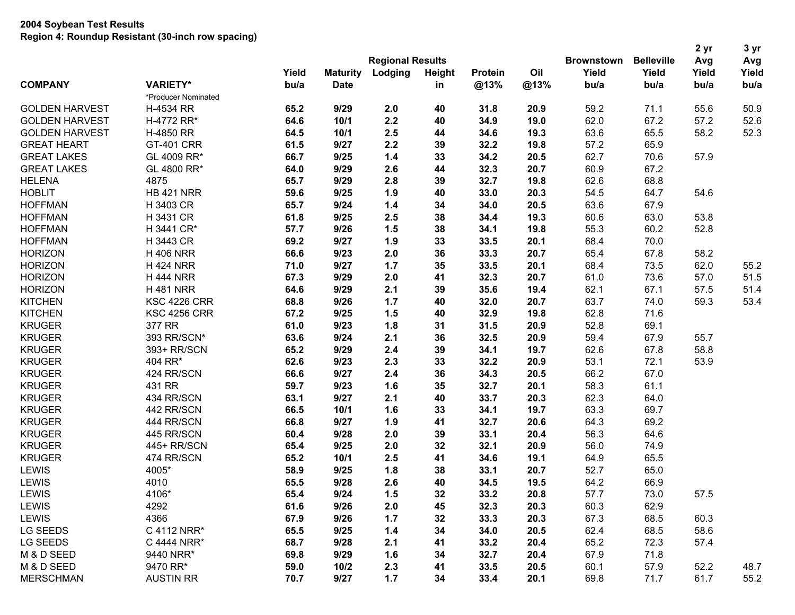|                       | wegion 4. Noundap Resistant (op-mon row spacing) |       |                         |         |        |                |      |       |                                        | 2 <sub>yr</sub> | 3 yr  |
|-----------------------|--------------------------------------------------|-------|-------------------------|---------|--------|----------------|------|-------|----------------------------------------|-----------------|-------|
|                       |                                                  |       | <b>Regional Results</b> |         |        |                |      |       | <b>Brownstown</b><br><b>Belleville</b> | Avg             | Avg   |
|                       |                                                  | Yield | <b>Maturity</b>         | Lodging | Height | <b>Protein</b> | Oil  | Yield | Yield                                  | Yield           | Yield |
| <b>COMPANY</b>        | <b>VARIETY*</b>                                  | bu/a  | <b>Date</b>             |         | in     | @13%           | @13% | bu/a  | bu/a                                   | bu/a            | bu/a  |
|                       | *Producer Nominated                              |       |                         |         |        |                |      |       |                                        |                 |       |
| <b>GOLDEN HARVEST</b> | H-4534 RR                                        | 65.2  | 9/29                    | 2.0     | 40     | 31.8           | 20.9 | 59.2  | 71.1                                   | 55.6            | 50.9  |
| <b>GOLDEN HARVEST</b> | H-4772 RR*                                       | 64.6  | 10/1                    | 2.2     | 40     | 34.9           | 19.0 | 62.0  | 67.2                                   | 57.2            | 52.6  |
| <b>GOLDEN HARVEST</b> | H-4850 RR                                        | 64.5  | 10/1                    | 2.5     | 44     | 34.6           | 19.3 | 63.6  | 65.5                                   | 58.2            | 52.3  |
| <b>GREAT HEART</b>    | <b>GT-401 CRR</b>                                | 61.5  | 9/27                    | 2.2     | 39     | 32.2           | 19.8 | 57.2  | 65.9                                   |                 |       |
| <b>GREAT LAKES</b>    | GL 4009 RR*                                      | 66.7  | 9/25                    | $1.4$   | 33     | 34.2           | 20.5 | 62.7  | 70.6                                   | 57.9            |       |
| <b>GREAT LAKES</b>    | GL 4800 RR*                                      | 64.0  | 9/29                    | 2.6     | 44     | 32.3           | 20.7 | 60.9  | 67.2                                   |                 |       |
| <b>HELENA</b>         | 4875                                             | 65.7  | 9/29                    | 2.8     | 39     | 32.7           | 19.8 | 62.6  | 68.8                                   |                 |       |
| <b>HOBLIT</b>         | <b>HB 421 NRR</b>                                | 59.6  | 9/25                    | 1.9     | 40     | 33.0           | 20.3 | 54.5  | 64.7                                   | 54.6            |       |
| <b>HOFFMAN</b>        | H 3403 CR                                        | 65.7  | 9/24                    | $1.4$   | 34     | 34.0           | 20.5 | 63.6  | 67.9                                   |                 |       |
| <b>HOFFMAN</b>        | H 3431 CR                                        | 61.8  | 9/25                    | 2.5     | 38     | 34.4           | 19.3 | 60.6  | 63.0                                   | 53.8            |       |
| <b>HOFFMAN</b>        | H 3441 CR*                                       | 57.7  | 9/26                    | 1.5     | 38     | 34.1           | 19.8 | 55.3  | 60.2                                   | 52.8            |       |
| <b>HOFFMAN</b>        | H 3443 CR                                        | 69.2  | 9/27                    | 1.9     | 33     | 33.5           | 20.1 | 68.4  | 70.0                                   |                 |       |
| <b>HORIZON</b>        | <b>H 406 NRR</b>                                 | 66.6  | 9/23                    | 2.0     | 36     | 33.3           | 20.7 | 65.4  | 67.8                                   | 58.2            |       |
| <b>HORIZON</b>        | <b>H 424 NRR</b>                                 | 71.0  | 9/27                    | 1.7     | 35     | 33.5           | 20.1 | 68.4  | 73.5                                   | 62.0            | 55.2  |
| <b>HORIZON</b>        | <b>H 444 NRR</b>                                 | 67.3  | 9/29                    | 2.0     | 41     | 32.3           | 20.7 | 61.0  | 73.6                                   | 57.0            | 51.5  |
| <b>HORIZON</b>        | <b>H481 NRR</b>                                  | 64.6  | 9/29                    | 2.1     | 39     | 35.6           | 19.4 | 62.1  | 67.1                                   | 57.5            | 51.4  |
| <b>KITCHEN</b>        | <b>KSC 4226 CRR</b>                              | 68.8  | 9/26                    | 1.7     | 40     | 32.0           | 20.7 | 63.7  | 74.0                                   | 59.3            | 53.4  |
| <b>KITCHEN</b>        | <b>KSC 4256 CRR</b>                              | 67.2  | 9/25                    | 1.5     | 40     | 32.9           | 19.8 | 62.8  | 71.6                                   |                 |       |
| <b>KRUGER</b>         | 377 RR                                           | 61.0  | 9/23                    | 1.8     | 31     | 31.5           | 20.9 | 52.8  | 69.1                                   |                 |       |
| <b>KRUGER</b>         | 393 RR/SCN*                                      | 63.6  | 9/24                    | 2.1     | 36     | 32.5           | 20.9 | 59.4  | 67.9                                   | 55.7            |       |
| <b>KRUGER</b>         | 393+ RR/SCN                                      | 65.2  | 9/29                    | 2.4     | 39     | 34.1           | 19.7 | 62.6  | 67.8                                   | 58.8            |       |
| <b>KRUGER</b>         | 404 RR*                                          | 62.6  | 9/23                    | 2.3     | 33     | 32.2           | 20.9 | 53.1  | 72.1                                   | 53.9            |       |
| <b>KRUGER</b>         | 424 RR/SCN                                       | 66.6  | 9/27                    | 2.4     | 36     | 34.3           | 20.5 | 66.2  | 67.0                                   |                 |       |
| <b>KRUGER</b>         | 431 RR                                           | 59.7  | 9/23                    | 1.6     | 35     | 32.7           | 20.1 | 58.3  | 61.1                                   |                 |       |
| <b>KRUGER</b>         | 434 RR/SCN                                       | 63.1  | 9/27                    | 2.1     | 40     | 33.7           | 20.3 | 62.3  | 64.0                                   |                 |       |
| <b>KRUGER</b>         | 442 RR/SCN                                       | 66.5  | 10/1                    | 1.6     | 33     | 34.1           | 19.7 | 63.3  | 69.7                                   |                 |       |
| <b>KRUGER</b>         | 444 RR/SCN                                       | 66.8  | 9/27                    | 1.9     | 41     | 32.7           | 20.6 | 64.3  | 69.2                                   |                 |       |
| <b>KRUGER</b>         | 445 RR/SCN                                       | 60.4  | 9/28                    | 2.0     | 39     | 33.1           | 20.4 | 56.3  | 64.6                                   |                 |       |
| <b>KRUGER</b>         | 445+ RR/SCN                                      | 65.4  | 9/25                    | 2.0     | 32     | 32.1           | 20.9 | 56.0  | 74.9                                   |                 |       |
| <b>KRUGER</b>         | 474 RR/SCN                                       | 65.2  | 10/1                    | 2.5     | 41     | 34.6           | 19.1 | 64.9  | 65.5                                   |                 |       |
| <b>LEWIS</b>          | 4005*                                            | 58.9  | 9/25                    | 1.8     | 38     | 33.1           | 20.7 | 52.7  | 65.0                                   |                 |       |
| <b>LEWIS</b>          | 4010                                             | 65.5  | 9/28                    | 2.6     | 40     | 34.5           | 19.5 | 64.2  | 66.9                                   |                 |       |
| <b>LEWIS</b>          | 4106*                                            | 65.4  | 9/24                    | 1.5     | 32     | 33.2           | 20.8 | 57.7  | 73.0                                   | 57.5            |       |
| <b>LEWIS</b>          | 4292                                             | 61.6  | 9/26                    | 2.0     | 45     | 32.3           | 20.3 | 60.3  | 62.9                                   |                 |       |
| <b>LEWIS</b>          | 4366                                             | 67.9  | 9/26                    | 1.7     | 32     | 33.3           | 20.3 | 67.3  | 68.5                                   | 60.3            |       |
| LG SEEDS              | C 4112 NRR*                                      | 65.5  | 9/25                    | 1.4     | 34     | 34.0           | 20.5 | 62.4  | 68.5                                   | 58.6            |       |
| LG SEEDS              | C 4444 NRR*                                      | 68.7  | 9/28                    | 2.1     | 41     | 33.2           | 20.4 | 65.2  | 72.3                                   | 57.4            |       |
| M & D SEED            | 9440 NRR*                                        | 69.8  | 9/29                    | 1.6     | 34     | 32.7           | 20.4 | 67.9  | 71.8                                   |                 |       |
| M & D SEED            | 9470 RR*                                         | 59.0  | 10/2                    | 2.3     | 41     | 33.5           | 20.5 | 60.1  | 57.9                                   | 52.2            | 48.7  |
| <b>MERSCHMAN</b>      | <b>AUSTIN RR</b>                                 | 70.7  | 9/27                    | 1.7     | 34     | 33.4           | 20.1 | 69.8  | 71.7                                   | 61.7            | 55.2  |
|                       |                                                  |       |                         |         |        |                |      |       |                                        |                 |       |